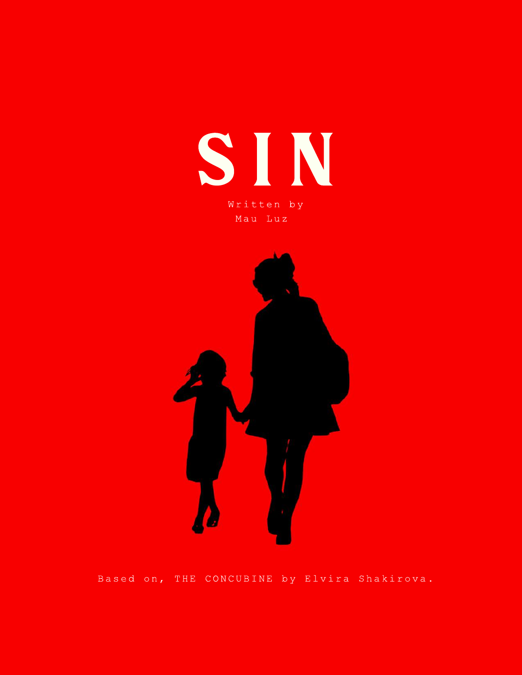# SIN



Based on, THE CONCUBINE by Elvira Shakirova.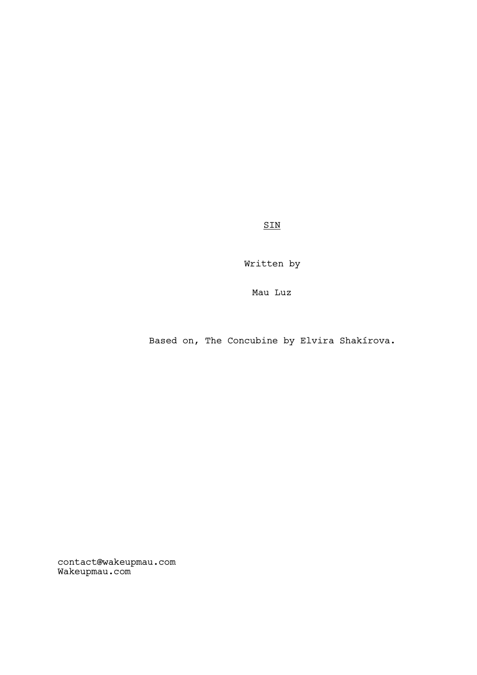SIN

Written by

Mau Luz

Based on, The Concubine by Elvira Shakírova.

contact@wakeupmau.com Wakeupmau.com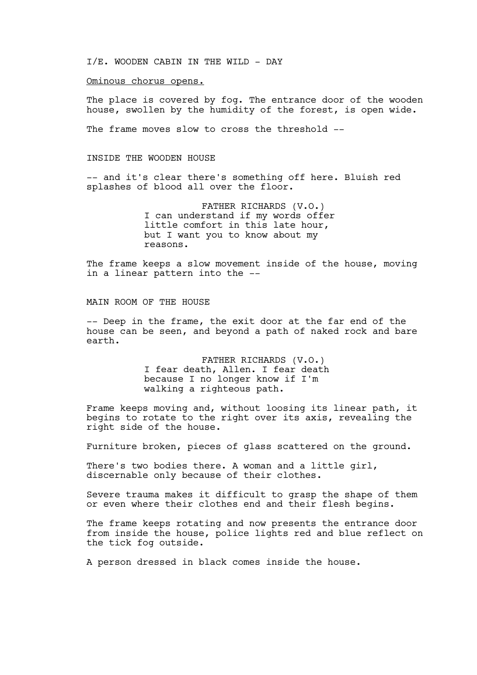## I/E. WOODEN CABIN IN THE WILD - DAY

# Ominous chorus opens.

The place is covered by fog. The entrance door of the wooden house, swollen by the humidity of the forest, is open wide.

The frame moves slow to cross the threshold --

## INSIDE THE WOODEN HOUSE

-- and it's clear there's something off here. Bluish red splashes of blood all over the floor.

> FATHER RICHARDS (V.O.) I can understand if my words offer little comfort in this late hour, but I want you to know about my reasons.

The frame keeps a slow movement inside of the house, moving in a linear pattern into the --

# MAIN ROOM OF THE HOUSE

-- Deep in the frame, the exit door at the far end of the house can be seen, and beyond a path of naked rock and bare earth.

> FATHER RICHARDS (V.O.) I fear death, Allen. I fear death because I no longer know if I'm walking a righteous path.

Frame keeps moving and, without loosing its linear path, it begins to rotate to the right over its axis, revealing the right side of the house.

Furniture broken, pieces of glass scattered on the ground.

There's two bodies there. A woman and a little girl, discernable only because of their clothes.

Severe trauma makes it difficult to grasp the shape of them or even where their clothes end and their flesh begins.

The frame keeps rotating and now presents the entrance door from inside the house, police lights red and blue reflect on the tick fog outside.

A person dressed in black comes inside the house.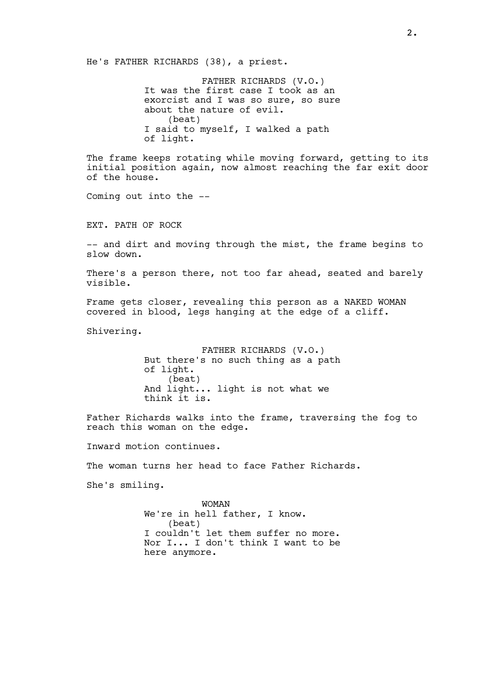He's FATHER RICHARDS (38), a priest.

FATHER RICHARDS (V.O.) It was the first case I took as an exorcist and I was so sure, so sure about the nature of evil. (beat) I said to myself, I walked a path of light.

The frame keeps rotating while moving forward, getting to its initial position again, now almost reaching the far exit door of the house.

Coming out into the --

EXT. PATH OF ROCK

-- and dirt and moving through the mist, the frame begins to slow down.

There's a person there, not too far ahead, seated and barely visible.

Frame gets closer, revealing this person as a NAKED WOMAN covered in blood, legs hanging at the edge of a cliff.

Shivering.

FATHER RICHARDS (V.O.) But there's no such thing as a path of light. (beat) And light... light is not what we think it is.

Father Richards walks into the frame, traversing the fog to reach this woman on the edge.

Inward motion continues.

The woman turns her head to face Father Richards.

She's smiling.

WOMAN We're in hell father, I know. (beat) I couldn't let them suffer no more. Nor I... I don't think I want to be here anymore.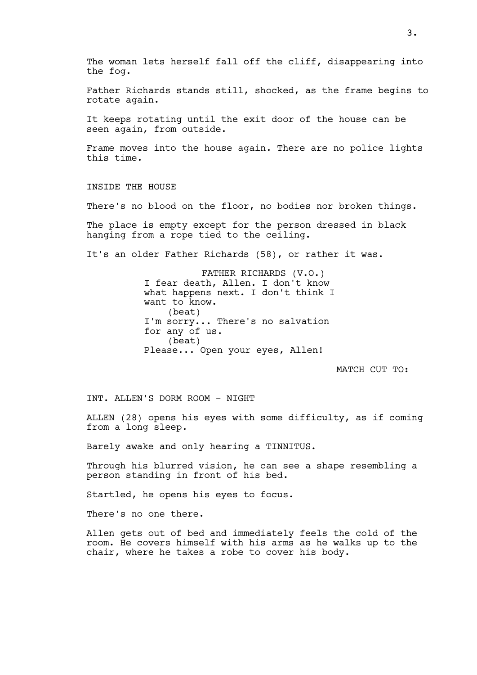The woman lets herself fall off the cliff, disappearing into the fog.

Father Richards stands still, shocked, as the frame begins to rotate again.

It keeps rotating until the exit door of the house can be seen again, from outside.

Frame moves into the house again. There are no police lights this time.

INSIDE THE HOUSE

There's no blood on the floor, no bodies nor broken things.

The place is empty except for the person dressed in black hanging from a rope tied to the ceiling.

It's an older Father Richards (58), or rather it was.

FATHER RICHARDS (V.O.) I fear death, Allen. I don't know what happens next. I don't think I want to know. (beat) I'm sorry... There's no salvation for any of us. (beat) Please... Open your eyes, Allen!

MATCH CUT TO:

INT. ALLEN'S DORM ROOM - NIGHT

ALLEN (28) opens his eyes with some difficulty, as if coming from a long sleep.

Barely awake and only hearing a TINNITUS.

Through his blurred vision, he can see a shape resembling a person standing in front of his bed.

Startled, he opens his eyes to focus.

There's no one there.

Allen gets out of bed and immediately feels the cold of the room. He covers himself with his arms as he walks up to the chair, where he takes a robe to cover his body.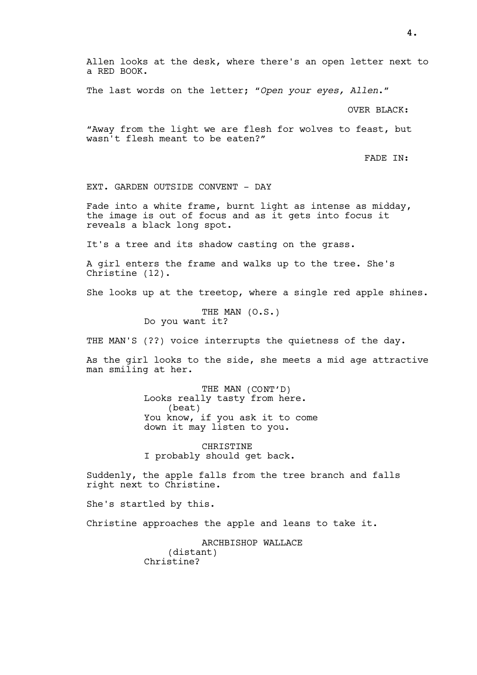Allen looks at the desk, where there's an open letter next to a RED BOOK. The last words on the letter; "Open your eyes, Allen." OVER BLACK: "Away from the light we are flesh for wolves to feast, but wasn't flesh meant to be eaten?" FADE IN: EXT. GARDEN OUTSIDE CONVENT - DAY Fade into a white frame, burnt light as intense as midday, the image is out of focus and as it gets into focus it reveals a black long spot. It's a tree and its shadow casting on the grass. A girl enters the frame and walks up to the tree. She's Christine (12). She looks up at the treetop, where a single red apple shines. THE MAN (O.S.) Do you want it? THE MAN'S (??) voice interrupts the quietness of the day. As the girl looks to the side, she meets a mid age attractive man smiling at her. THE MAN (CONT'D) Looks really tasty from here. (beat) You know, if you ask it to come down it may listen to you. CHRISTINE I probably should get back. Suddenly, the apple falls from the tree branch and falls right next to Christine. She's startled by this. Christine approaches the apple and leans to take it.

ARCHBISHOP WALLACE (distant) Christine?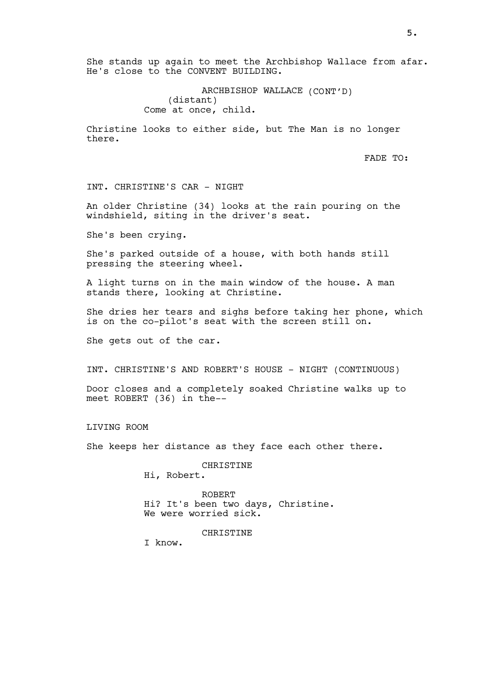She stands up again to meet the Archbishop Wallace from afar. He's close to the CONVENT BUILDING.

> ARCHBISHOP WALLACE (CONT'D) (distant) Come at once, child.

Christine looks to either side, but The Man is no longer there.

FADE TO:

INT. CHRISTINE'S CAR - NIGHT

An older Christine (34) looks at the rain pouring on the windshield, siting in the driver's seat.

She's been crying.

She's parked outside of a house, with both hands still pressing the steering wheel.

A light turns on in the main window of the house. A man stands there, looking at Christine.

She dries her tears and sighs before taking her phone, which is on the co-pilot's seat with the screen still on.

She gets out of the car.

INT. CHRISTINE'S AND ROBERT'S HOUSE - NIGHT (CONTINUOUS)

Door closes and a completely soaked Christine walks up to meet ROBERT (36) in the--

LIVING ROOM

She keeps her distance as they face each other there.

## CHRISTINE

Hi, Robert.

ROBERT Hi? It's been two days, Christine. We were worried sick.

# **CHRISTINE**

I know.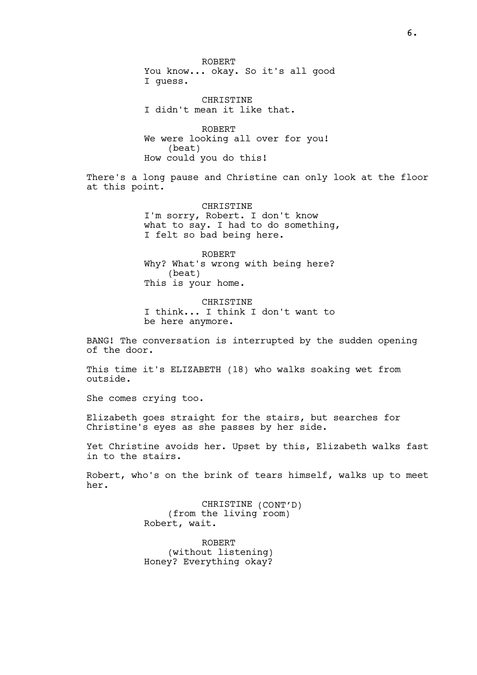ROBERT You know... okay. So it's all good I guess.

CHRISTINE I didn't mean it like that.

ROBERT We were looking all over for you! (beat) How could you do this!

There's a long pause and Christine can only look at the floor at this point.

> **CHRISTINE** I'm sorry, Robert. I don't know what to say. I had to do something, I felt so bad being here.

ROBERT Why? What's wrong with being here? (beat) This is your home.

CHRISTINE I think... I think I don't want to be here anymore.

BANG! The conversation is interrupted by the sudden opening of the door.

This time it's ELIZABETH (18) who walks soaking wet from outside.

She comes crying too.

Elizabeth goes straight for the stairs, but searches for Christine's eyes as she passes by her side.

Yet Christine avoids her. Upset by this, Elizabeth walks fast in to the stairs.

Robert, who's on the brink of tears himself, walks up to meet her.

> CHRISTINE (CONT'D) (from the living room) Robert, wait.

ROBERT (without listening) Honey? Everything okay?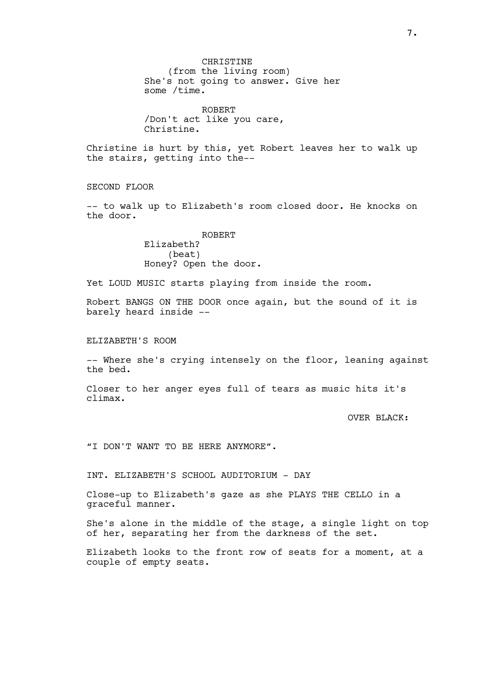**CHRISTINE** (from the living room) She's not going to answer. Give her some /time.

ROBERT /Don't act like you care, Christine.

Christine is hurt by this, yet Robert leaves her to walk up the stairs, getting into the--

SECOND FLOOR

-- to walk up to Elizabeth's room closed door. He knocks on the door.

> ROBERT Elizabeth? (beat) Honey? Open the door.

Yet LOUD MUSIC starts playing from inside the room.

Robert BANGS ON THE DOOR once again, but the sound of it is barely heard inside --

ELIZABETH'S ROOM

-- Where she's crying intensely on the floor, leaning against the bed.

Closer to her anger eyes full of tears as music hits it's climax.

OVER BLACK:

"I DON'T WANT TO BE HERE ANYMORE".

INT. ELIZABETH'S SCHOOL AUDITORIUM - DAY

Close-up to Elizabeth's gaze as she PLAYS THE CELLO in a graceful manner.

She's alone in the middle of the stage, a single light on top of her, separating her from the darkness of the set.

Elizabeth looks to the front row of seats for a moment, at a couple of empty seats.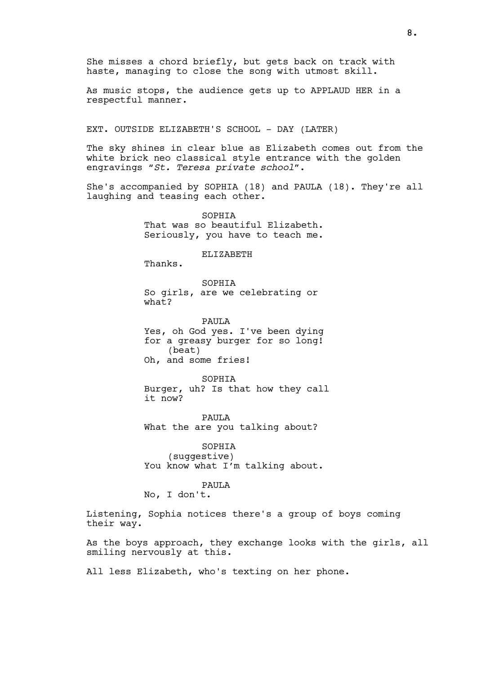She misses a chord briefly, but gets back on track with haste, managing to close the song with utmost skill.

As music stops, the audience gets up to APPLAUD HER in a respectful manner.

EXT. OUTSIDE ELIZABETH'S SCHOOL - DAY (LATER)

The sky shines in clear blue as Elizabeth comes out from the white brick neo classical style entrance with the golden engravings "St. Teresa private school".

She's accompanied by SOPHIA (18) and PAULA (18). They're all laughing and teasing each other.

> SOPHIA That was so beautiful Elizabeth. Seriously, you have to teach me.

> > ELIZABETH

Thanks.

SOPHIA So girls, are we celebrating or what?

PAULA Yes, oh God yes. I've been dying for a greasy burger for so long! (beat) Oh, and some fries!

SOPHIA Burger, uh? Is that how they call it now?

PAULA What the are you talking about?

SOPHIA (suggestive) You know what I'm talking about.

PAULA

No, I don't.

Listening, Sophia notices there's a group of boys coming their way.

As the boys approach, they exchange looks with the girls, all smiling nervously at this.

All less Elizabeth, who's texting on her phone.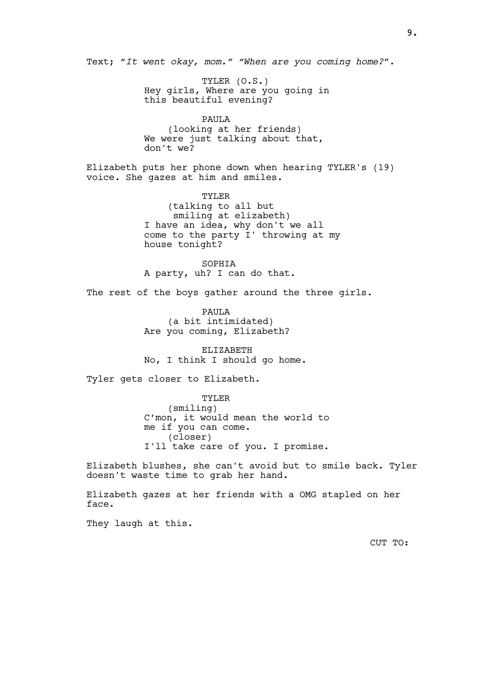Text; "It went okay, mom." "When are you coming home?".

TYLER (O.S.) Hey girls, Where are you going in this beautiful evening?

PAULA (looking at her friends) We were just talking about that, don't we?

Elizabeth puts her phone down when hearing TYLER's (19) voice. She gazes at him and smiles.

> TYLER (talking to all but smiling at elizabeth) I have an idea, why don't we all come to the party I' throwing at my house tonight?

SOPHIA A party, uh? I can do that.

The rest of the boys gather around the three girls.

PAULA (a bit intimidated) Are you coming, Elizabeth?

ELIZABETH No, I think I should go home.

Tyler gets closer to Elizabeth.

TYLER (smiling) C'mon, it would mean the world to me if you can come. (closer) I'll take care of you. I promise.

Elizabeth blushes, she can't avoid but to smile back. Tyler doesn't waste time to grab her hand.

Elizabeth gazes at her friends with a OMG stapled on her face.

They laugh at this.

CUT TO: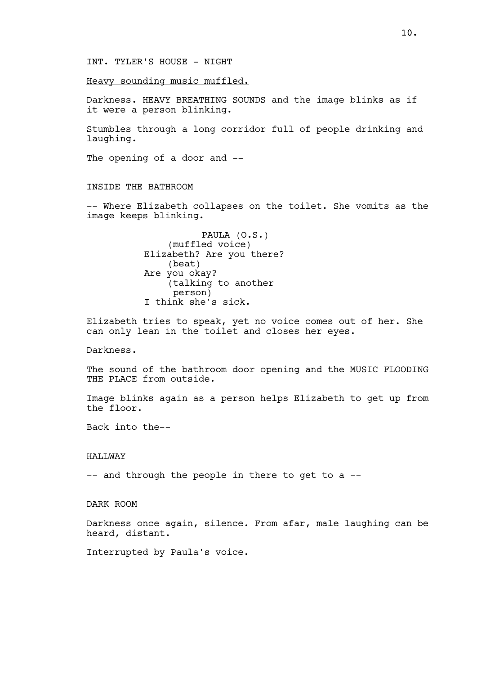INT. TYLER'S HOUSE - NIGHT

Heavy sounding music muffled.

Darkness. HEAVY BREATHING SOUNDS and the image blinks as if it were a person blinking.

Stumbles through a long corridor full of people drinking and laughing.

The opening of a door and --

INSIDE THE BATHROOM

-- Where Elizabeth collapses on the toilet. She vomits as the image keeps blinking.

> PAULA (O.S.) (muffled voice) Elizabeth? Are you there? (beat) Are you okay? (talking to another person) I think she's sick.

Elizabeth tries to speak, yet no voice comes out of her. She can only lean in the toilet and closes her eyes.

Darkness.

The sound of the bathroom door opening and the MUSIC FLOODING THE PLACE from outside.

Image blinks again as a person helps Elizabeth to get up from the floor.

Back into the--

# HALLWAY

-- and through the people in there to get to a --

## DARK ROOM

Darkness once again, silence. From afar, male laughing can be heard, distant.

Interrupted by Paula's voice.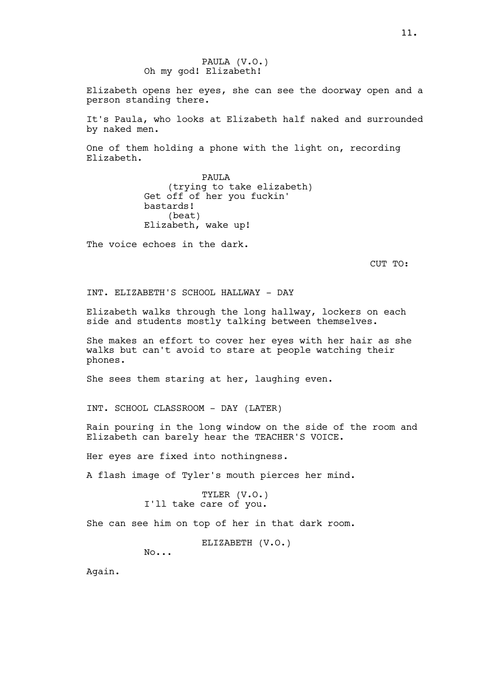PAULA (V.O.) Oh my god! Elizabeth!

Elizabeth opens her eyes, she can see the doorway open and a person standing there.

It's Paula, who looks at Elizabeth half naked and surrounded by naked men.

One of them holding a phone with the light on, recording Elizabeth.

> PAULA (trying to take elizabeth) Get off of her you fuckin' bastards! (beat) Elizabeth, wake up!

The voice echoes in the dark.

CUT TO:

INT. ELIZABETH'S SCHOOL HALLWAY - DAY

Elizabeth walks through the long hallway, lockers on each side and students mostly talking between themselves.

She makes an effort to cover her eyes with her hair as she walks but can't avoid to stare at people watching their phones.

She sees them staring at her, laughing even.

INT. SCHOOL CLASSROOM - DAY (LATER)

Rain pouring in the long window on the side of the room and Elizabeth can barely hear the TEACHER'S VOICE.

Her eyes are fixed into nothingness.

A flash image of Tyler's mouth pierces her mind.

TYLER (V.O.) I'll take care of you.

She can see him on top of her in that dark room.

ELIZABETH (V.O.)

No...

Again.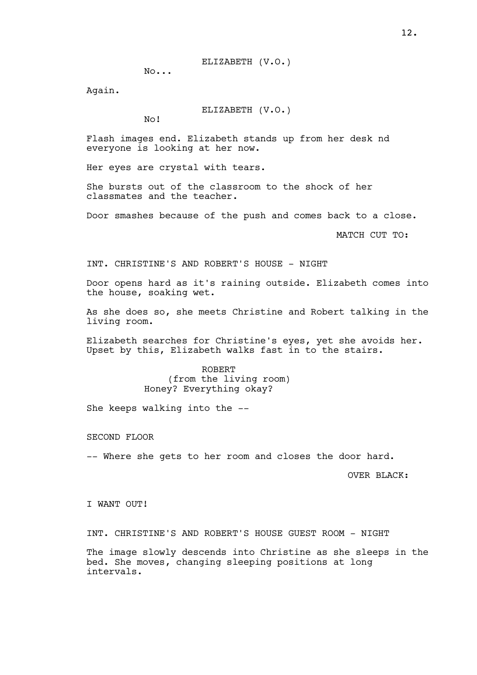No...

Again.

ELIZABETH (V.O.)

No!

Flash images end. Elizabeth stands up from her desk nd everyone is looking at her now.

Her eyes are crystal with tears.

She bursts out of the classroom to the shock of her classmates and the teacher.

Door smashes because of the push and comes back to a close.

MATCH CUT TO:

INT. CHRISTINE'S AND ROBERT'S HOUSE - NIGHT

Door opens hard as it's raining outside. Elizabeth comes into the house, soaking wet.

As she does so, she meets Christine and Robert talking in the living room.

Elizabeth searches for Christine's eyes, yet she avoids her. Upset by this, Elizabeth walks fast in to the stairs.

> ROBERT (from the living room) Honey? Everything okay?

She keeps walking into the --

SECOND FLOOR

-- Where she gets to her room and closes the door hard.

OVER BLACK:

I WANT OUT!

INT. CHRISTINE'S AND ROBERT'S HOUSE GUEST ROOM - NIGHT

The image slowly descends into Christine as she sleeps in the bed. She moves, changing sleeping positions at long intervals.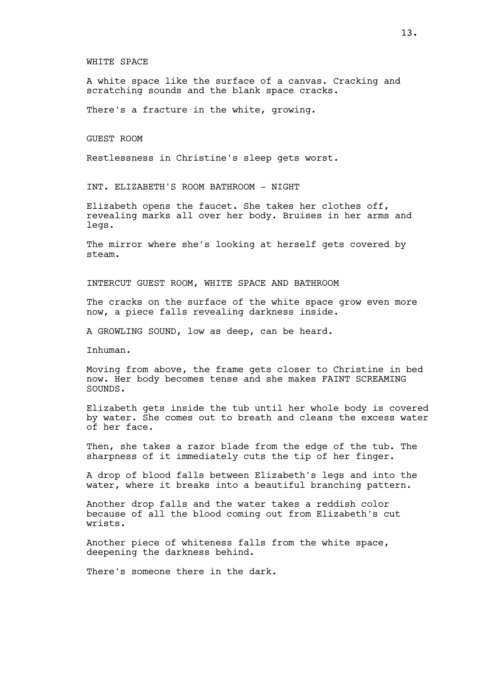#### WHITE SPACE

A white space like the surface of a canvas. Cracking and scratching sounds and the blank space cracks.

There's a fracture in the white, growing.

GUEST ROOM

Restlessness in Christine's sleep gets worst.

INT. ELIZABETH'S ROOM BATHROOM - NIGHT

Elizabeth opens the faucet. She takes her clothes off, revealing marks all over her body. Bruises in her arms and legs.

The mirror where she's looking at herself gets covered by steam.

INTERCUT GUEST ROOM, WHITE SPACE AND BATHROOM

The cracks on the surface of the white space grow even more now, a piece falls revealing darkness inside.

A GROWLING SOUND, low as deep, can be heard.

Inhuman.

Moving from above, the frame gets closer to Christine in bed now. Her body becomes tense and she makes FAINT SCREAMING SOUNDS.

Elizabeth gets inside the tub until her whole body is covered by water. She comes out to breath and cleans the excess water of her face.

Then, she takes a razor blade from the edge of the tub. The sharpness of it immediately cuts the tip of her finger.

A drop of blood falls between Elizabeth's legs and into the water, where it breaks into a beautiful branching pattern.

Another drop falls and the water takes a reddish color because of all the blood coming out from Elizabeth's cut wrists.

Another piece of whiteness falls from the white space, deepening the darkness behind.

There's someone there in the dark.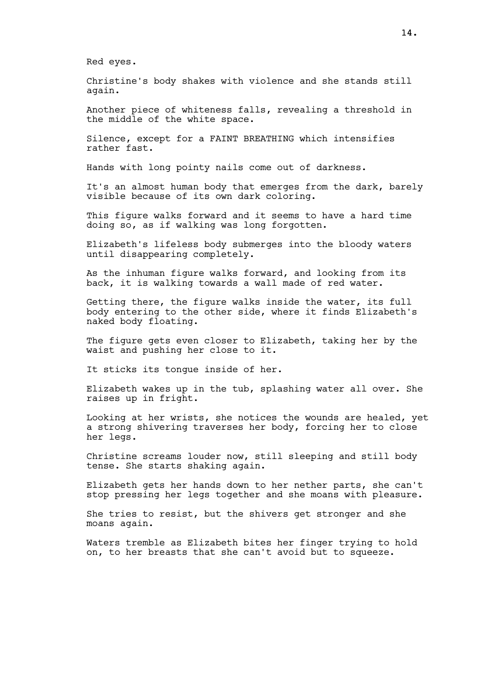Red eyes.

Christine's body shakes with violence and she stands still again.

Another piece of whiteness falls, revealing a threshold in the middle of the white space.

Silence, except for a FAINT BREATHING which intensifies rather fast.

Hands with long pointy nails come out of darkness.

It's an almost human body that emerges from the dark, barely visible because of its own dark coloring.

This figure walks forward and it seems to have a hard time doing so, as if walking was long forgotten.

Elizabeth's lifeless body submerges into the bloody waters until disappearing completely.

As the inhuman figure walks forward, and looking from its back, it is walking towards a wall made of red water.

Getting there, the figure walks inside the water, its full body entering to the other side, where it finds Elizabeth's naked body floating.

The figure gets even closer to Elizabeth, taking her by the waist and pushing her close to it.

It sticks its tongue inside of her.

Elizabeth wakes up in the tub, splashing water all over. She raises up in fright.

Looking at her wrists, she notices the wounds are healed, yet a strong shivering traverses her body, forcing her to close her legs.

Christine screams louder now, still sleeping and still body tense. She starts shaking again.

Elizabeth gets her hands down to her nether parts, she can't stop pressing her legs together and she moans with pleasure.

She tries to resist, but the shivers get stronger and she moans again.

Waters tremble as Elizabeth bites her finger trying to hold on, to her breasts that she can't avoid but to squeeze.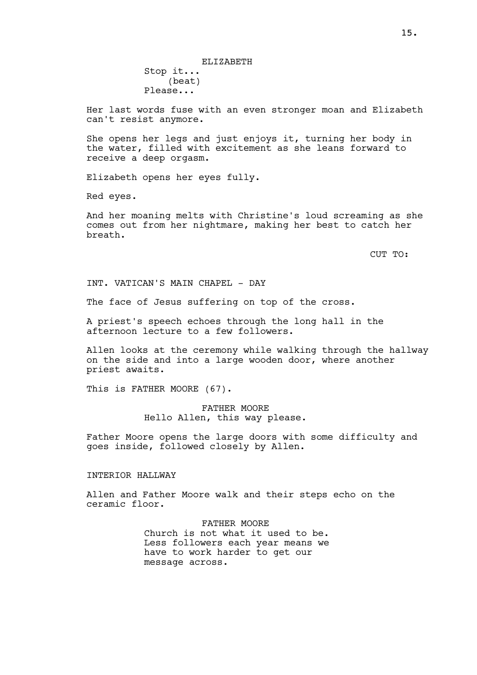Her last words fuse with an even stronger moan and Elizabeth can't resist anymore.

She opens her legs and just enjoys it, turning her body in the water, filled with excitement as she leans forward to receive a deep orgasm.

Elizabeth opens her eyes fully.

Red eyes.

And her moaning melts with Christine's loud screaming as she comes out from her nightmare, making her best to catch her breath.

CUT TO:

INT. VATICAN'S MAIN CHAPEL - DAY

The face of Jesus suffering on top of the cross.

A priest's speech echoes through the long hall in the afternoon lecture to a few followers.

Allen looks at the ceremony while walking through the hallway on the side and into a large wooden door, where another priest awaits.

This is FATHER MOORE (67).

# FATHER MOORE Hello Allen, this way please.

Father Moore opens the large doors with some difficulty and goes inside, followed closely by Allen.

### INTERIOR HALLWAY

Allen and Father Moore walk and their steps echo on the ceramic floor.

> FATHER MOORE Church is not what it used to be. Less followers each year means we have to work harder to get our message across.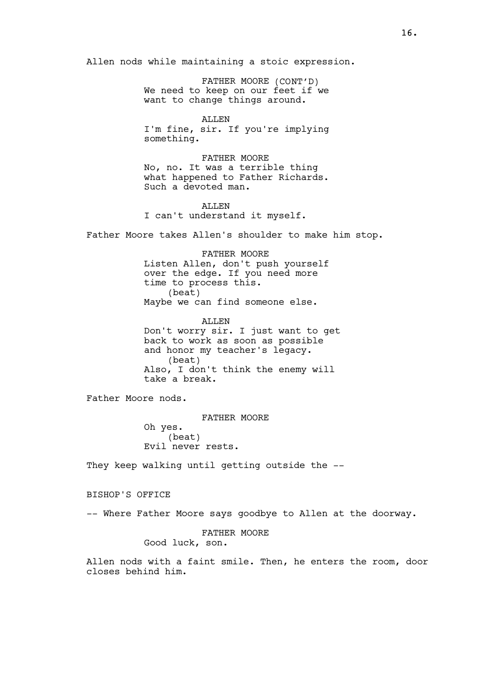Allen nods while maintaining a stoic expression.

FATHER MOORE (CONT'D) We need to keep on our feet if we want to change things around.

ALLEN I'm fine, sir. If you're implying something.

FATHER MOORE No, no. It was a terrible thing what happened to Father Richards. Such a devoted man.

ALLEN I can't understand it myself.

Father Moore takes Allen's shoulder to make him stop.

FATHER MOORE Listen Allen, don't push yourself over the edge. If you need more time to process this. (beat) Maybe we can find someone else.

ALLEN Don't worry sir. I just want to get back to work as soon as possible and honor my teacher's legacy. (beat) Also, I don't think the enemy will take a break.

Father Moore nods.

FATHER MOORE Oh yes. (beat) Evil never rests.

They keep walking until getting outside the --

BISHOP'S OFFICE

-- Where Father Moore says goodbye to Allen at the doorway.

FATHER MOORE Good luck, son.

Allen nods with a faint smile. Then, he enters the room, door closes behind him.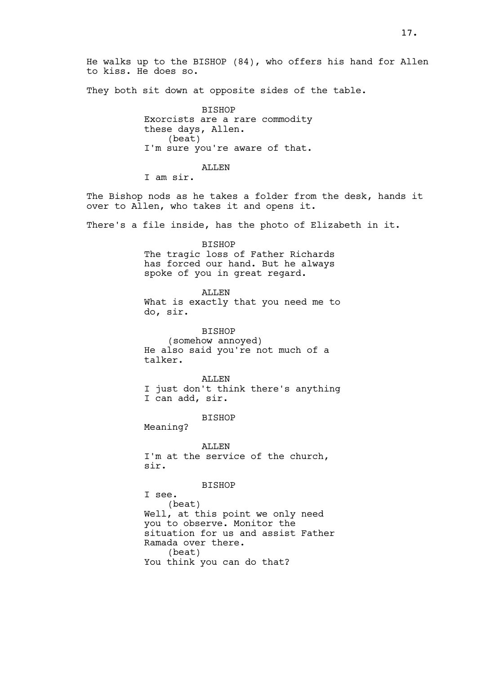He walks up to the BISHOP (84), who offers his hand for Allen to kiss. He does so.

They both sit down at opposite sides of the table.

BISHOP Exorcists are a rare commodity these days, Allen. (beat) I'm sure you're aware of that.

**ALLEN** I am sir.

The Bishop nods as he takes a folder from the desk, hands it over to Allen, who takes it and opens it.

There's a file inside, has the photo of Elizabeth in it.

BISHOP The tragic loss of Father Richards has forced our hand. But he always spoke of you in great regard.

ALLEN What is exactly that you need me to do, sir.

BISHOP (somehow annoyed) He also said you're not much of a talker.

ALLEN I just don't think there's anything I can add, sir.

BISHOP

Meaning?

ALLEN I'm at the service of the church, sir.

BISHOP I see. (beat) Well, at this point we only need you to observe. Monitor the situation for us and assist Father Ramada over there. (beat) You think you can do that?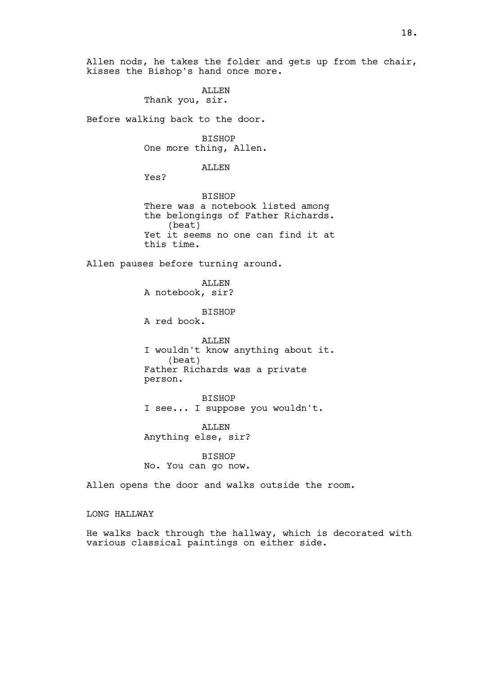Allen nods, he takes the folder and gets up from the chair, kisses the Bishop's hand once more.

> ALLEN Thank you, sir.

Before walking back to the door.

**BISHOP** One more thing, Allen.

**ALLEN** 

Yes?

**BISHOP** There was a notebook listed among the belongings of Father Richards. (beat) Yet it seems no one can find it at this time.

Allen pauses before turning around.

ALLEN A notebook, sir?

BISHOP

A red book.

ALLEN I wouldn't know anything about it. (beat) Father Richards was a private person.

BISHOP I see... I suppose you wouldn't.

ALLEN Anything else, sir?

BISHOP No. You can go now.

Allen opens the door and walks outside the room.

# LONG HALLWAY

He walks back through the hallway, which is decorated with various classical paintings on either side.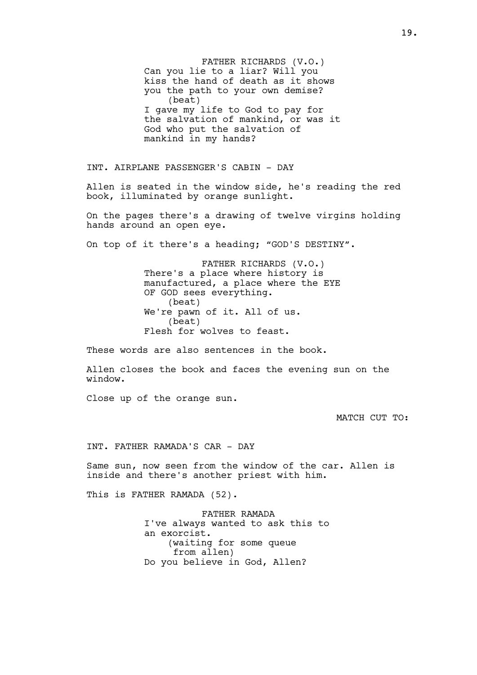FATHER RICHARDS (V.O.) Can you lie to a liar? Will you kiss the hand of death as it shows you the path to your own demise? (beat) I gave my life to God to pay for the salvation of mankind, or was it God who put the salvation of mankind in my hands?

INT. AIRPLANE PASSENGER'S CABIN - DAY

Allen is seated in the window side, he's reading the red book, illuminated by orange sunlight.

On the pages there's a drawing of twelve virgins holding hands around an open eye.

On top of it there's a heading; "GOD'S DESTINY".

FATHER RICHARDS (V.O.) There's a place where history is manufactured, a place where the EYE OF GOD sees everything. (beat) We're pawn of it. All of us. (beat) Flesh for wolves to feast.

These words are also sentences in the book.

Allen closes the book and faces the evening sun on the window.

Close up of the orange sun.

MATCH CUT TO:

INT. FATHER RAMADA'S CAR - DAY

Same sun, now seen from the window of the car. Allen is inside and there's another priest with him.

This is FATHER RAMADA (52).

FATHER RAMADA I've always wanted to ask this to an exorcist. (waiting for some queue from allen) Do you believe in God, Allen?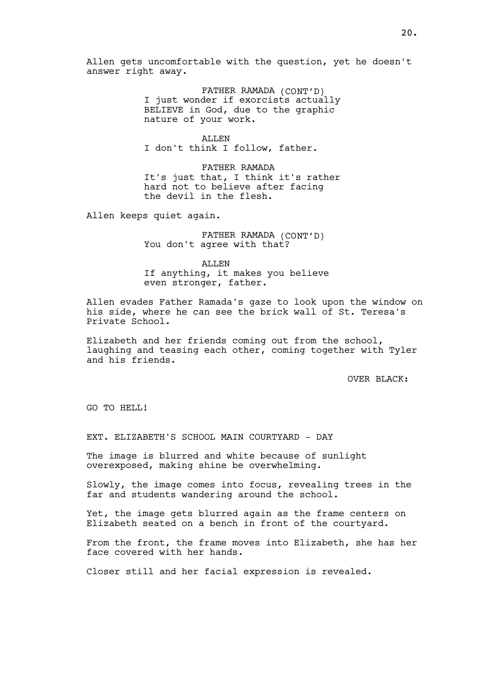Allen gets uncomfortable with the question, yet he doesn't answer right away.

> FATHER RAMADA (CONT'D) I just wonder if exorcists actually BELIEVE in God, due to the graphic nature of your work.

**ALLEN** I don't think I follow, father.

FATHER RAMADA It's just that, I think it's rather hard not to believe after facing the devil in the flesh.

Allen keeps quiet again.

FATHER RAMADA (CONT'D) You don't agree with that?

**ALLEN** If anything, it makes you believe even stronger, father.

Allen evades Father Ramada's gaze to look upon the window on his side, where he can see the brick wall of St. Teresa's Private School.

Elizabeth and her friends coming out from the school, laughing and teasing each other, coming together with Tyler and his friends.

OVER BLACK:

GO TO HELL!

EXT. ELIZABETH'S SCHOOL MAIN COURTYARD - DAY

The image is blurred and white because of sunlight overexposed, making shine be overwhelming.

Slowly, the image comes into focus, revealing trees in the far and students wandering around the school.

Yet, the image gets blurred again as the frame centers on Elizabeth seated on a bench in front of the courtyard.

From the front, the frame moves into Elizabeth, she has her face covered with her hands.

Closer still and her facial expression is revealed.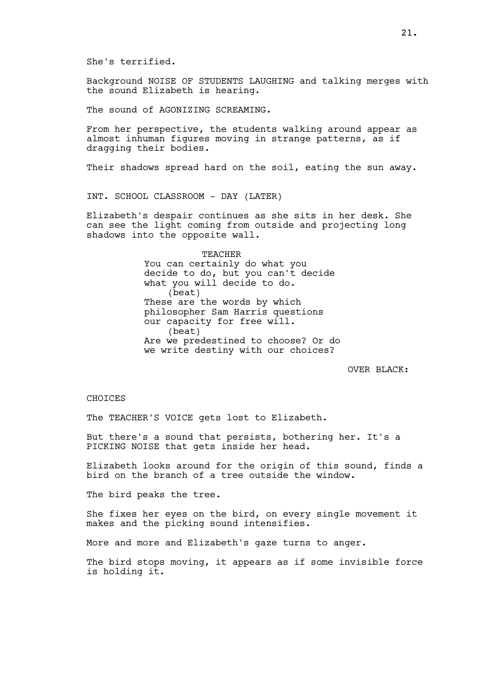She's terrified.

Background NOISE OF STUDENTS LAUGHING and talking merges with the sound Elizabeth is hearing.

The sound of AGONIZING SCREAMING.

From her perspective, the students walking around appear as almost inhuman figures moving in strange patterns, as if dragging their bodies.

Their shadows spread hard on the soil, eating the sun away.

INT. SCHOOL CLASSROOM - DAY (LATER)

Elizabeth's despair continues as she sits in her desk. She can see the light coming from outside and projecting long shadows into the opposite wall.

> TEACHER You can certainly do what you decide to do, but you can't decide what you will decide to do. (beat) These are the words by which philosopher Sam Harris questions our capacity for free will. (beat) Are we predestined to choose? Or do we write destiny with our choices?

> > OVER BLACK:

#### CHOICES

The TEACHER'S VOICE gets lost to Elizabeth.

But there's a sound that persists, bothering her. It's a PICKING NOISE that gets inside her head.

Elizabeth looks around for the origin of this sound, finds a bird on the branch of a tree outside the window.

The bird peaks the tree.

She fixes her eyes on the bird, on every single movement it makes and the picking sound intensifies.

More and more and Elizabeth's gaze turns to anger.

The bird stops moving, it appears as if some invisible force is holding it.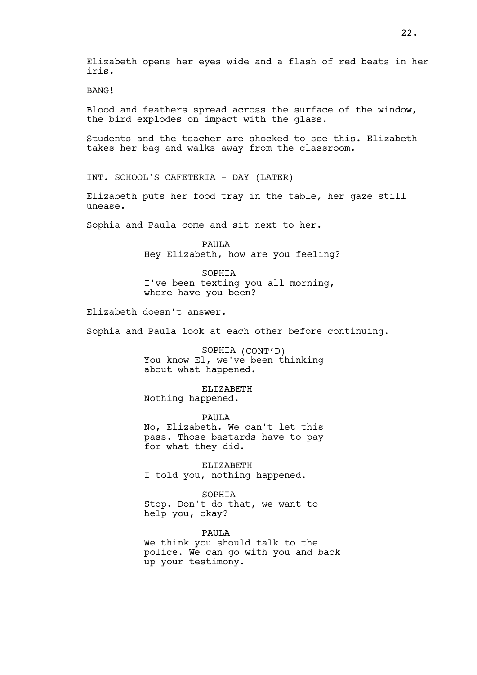Elizabeth opens her eyes wide and a flash of red beats in her iris.

BANG!

Blood and feathers spread across the surface of the window, the bird explodes on impact with the glass.

Students and the teacher are shocked to see this. Elizabeth takes her bag and walks away from the classroom.

INT. SCHOOL'S CAFETERIA - DAY (LATER)

Elizabeth puts her food tray in the table, her gaze still unease.

Sophia and Paula come and sit next to her.

PAULA Hey Elizabeth, how are you feeling?

SOPHIA I've been texting you all morning, where have you been?

Elizabeth doesn't answer.

Sophia and Paula look at each other before continuing.

SOPHIA (CONT'D) You know El, we've been thinking about what happened.

ELIZABETH Nothing happened.

PAULA No, Elizabeth. We can't let this pass. Those bastards have to pay for what they did.

ELIZABETH I told you, nothing happened.

SOPHIA Stop. Don't do that, we want to help you, okay?

PAULA We think you should talk to the police. We can go with you and back up your testimony.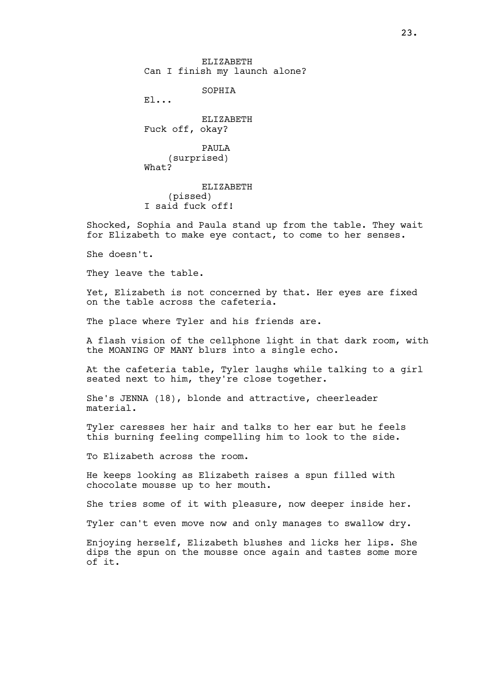ELIZABETH Can I finish my launch alone?

SOPHIA

El...

ELIZABETH Fuck off, okay? PAULA (surprised)  $W$ hat? ELIZABETH (pissed)

I said fuck off!

Shocked, Sophia and Paula stand up from the table. They wait for Elizabeth to make eye contact, to come to her senses.

She doesn't.

They leave the table.

Yet, Elizabeth is not concerned by that. Her eyes are fixed on the table across the cafeteria.

The place where Tyler and his friends are.

A flash vision of the cellphone light in that dark room, with the MOANING OF MANY blurs into a single echo.

At the cafeteria table, Tyler laughs while talking to a girl seated next to him, they're close together.

She's JENNA (18), blonde and attractive, cheerleader material.

Tyler caresses her hair and talks to her ear but he feels this burning feeling compelling him to look to the side.

To Elizabeth across the room.

He keeps looking as Elizabeth raises a spun filled with chocolate mousse up to her mouth.

She tries some of it with pleasure, now deeper inside her.

Tyler can't even move now and only manages to swallow dry.

Enjoying herself, Elizabeth blushes and licks her lips. She dips the spun on the mousse once again and tastes some more of it.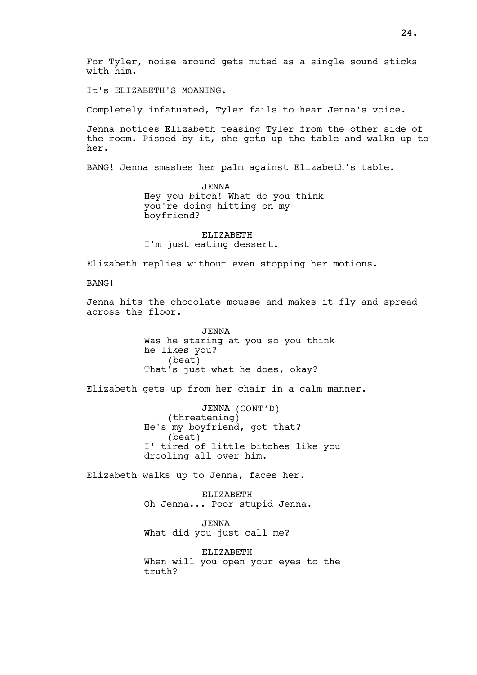It's ELIZABETH'S MOANING.

Completely infatuated, Tyler fails to hear Jenna's voice.

Jenna notices Elizabeth teasing Tyler from the other side of the room. Pissed by it, she gets up the table and walks up to her.

BANG! Jenna smashes her palm against Elizabeth's table.

JENNA Hey you bitch! What do you think you're doing hitting on my boyfriend?

ELIZABETH I'm just eating dessert.

Elizabeth replies without even stopping her motions.

BANG!

Jenna hits the chocolate mousse and makes it fly and spread across the floor.

> JENNA Was he staring at you so you think he likes you? (beat) That's just what he does, okay?

Elizabeth gets up from her chair in a calm manner.

JENNA (CONT'D) (threatening) He's my boyfriend, got that? (beat) I' tired of little bitches like you drooling all over him.

Elizabeth walks up to Jenna, faces her.

ELIZABETH Oh Jenna... Poor stupid Jenna.

**JENNA** What did you just call me?

**ELIZABETH** When will you open your eyes to the truth?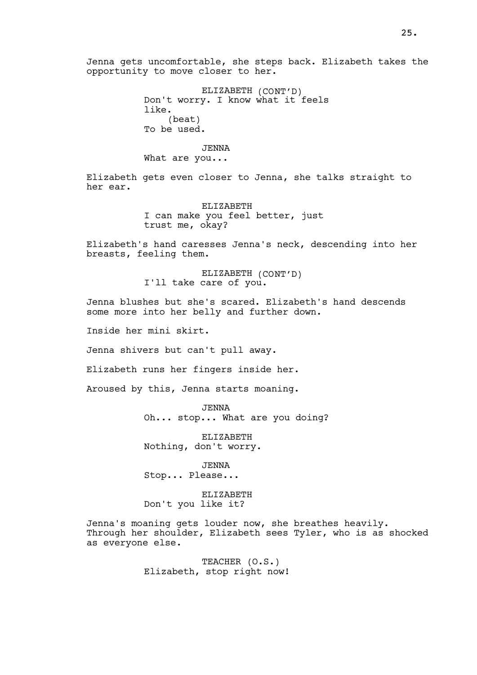Jenna gets uncomfortable, she steps back. Elizabeth takes the opportunity to move closer to her.

> ELIZABETH (CONT'D) Don't worry. I know what it feels like. (beat) To be used.

> > JENNA

What are you...

Elizabeth gets even closer to Jenna, she talks straight to her ear.

> ELIZABETH I can make you feel better, just trust me, okay?

Elizabeth's hand caresses Jenna's neck, descending into her breasts, feeling them.

> ELIZABETH (CONT'D) I'll take care of you.

Jenna blushes but she's scared. Elizabeth's hand descends some more into her belly and further down.

Inside her mini skirt.

Jenna shivers but can't pull away.

Elizabeth runs her fingers inside her.

Aroused by this, Jenna starts moaning.

JENNA Oh... stop... What are you doing?

**ELIZABETH** Nothing, don't worry.

JENNA Stop... Please...

ELIZABETH Don't you like it?

Jenna's moaning gets louder now, she breathes heavily. Through her shoulder, Elizabeth sees Tyler, who is as shocked as everyone else.

> TEACHER (O.S.) Elizabeth, stop right now!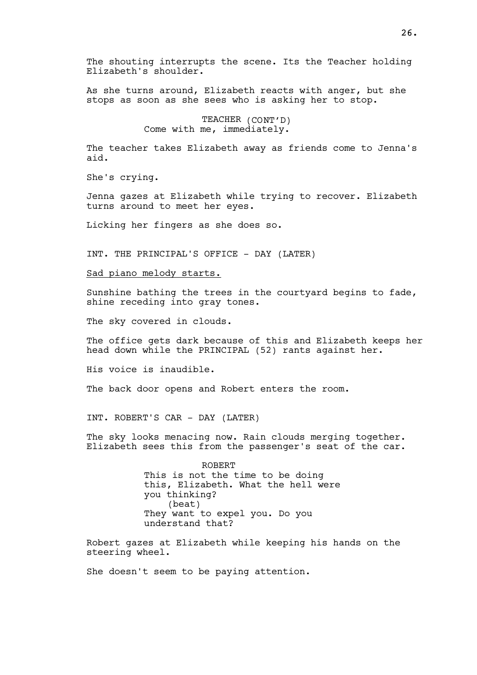The shouting interrupts the scene. Its the Teacher holding Elizabeth's shoulder.

As she turns around, Elizabeth reacts with anger, but she stops as soon as she sees who is asking her to stop.

> TEACHER (CONT'D) Come with me, immediately.

The teacher takes Elizabeth away as friends come to Jenna's aid.

She's crying.

Jenna gazes at Elizabeth while trying to recover. Elizabeth turns around to meet her eyes.

Licking her fingers as she does so.

INT. THE PRINCIPAL'S OFFICE - DAY (LATER)

Sad piano melody starts.

Sunshine bathing the trees in the courtyard begins to fade, shine receding into gray tones.

The sky covered in clouds.

The office gets dark because of this and Elizabeth keeps her head down while the PRINCIPAL (52) rants against her.

His voice is inaudible.

The back door opens and Robert enters the room.

INT. ROBERT'S CAR - DAY (LATER)

The sky looks menacing now. Rain clouds merging together. Elizabeth sees this from the passenger's seat of the car.

> ROBERT This is not the time to be doing this, Elizabeth. What the hell were you thinking? (beat) They want to expel you. Do you understand that?

Robert gazes at Elizabeth while keeping his hands on the steering wheel.

She doesn't seem to be paying attention.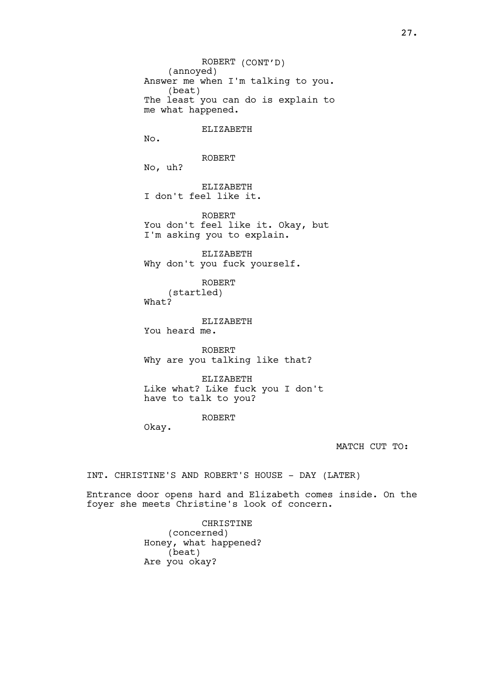ROBERT (CONT'D) (annoyed) Answer me when I'm talking to you. (beat) The least you can do is explain to me what happened. ELIZABETH No. ROBERT No, uh? ELIZABETH I don't feel like it. ROBERT You don't feel like it. Okay, but I'm asking you to explain. ELIZABETH Why don't you fuck yourself. ROBERT (startled) What? **ELIZABETH** You heard me.

ROBERT Why are you talking like that?

ELIZABETH Like what? Like fuck you I don't have to talk to you?

ROBERT

Okay.

MATCH CUT TO:

INT. CHRISTINE'S AND ROBERT'S HOUSE - DAY (LATER)

Entrance door opens hard and Elizabeth comes inside. On the foyer she meets Christine's look of concern.

> **CHRISTINE** (concerned) Honey, what happened? (beat) Are you okay?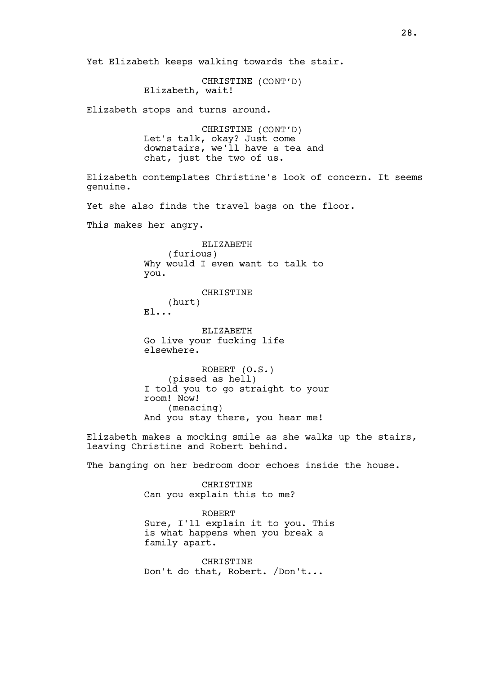Yet Elizabeth keeps walking towards the stair. CHRISTINE (CONT'D) Elizabeth, wait! Elizabeth stops and turns around. CHRISTINE (CONT'D) Let's talk, okay? Just come downstairs, we'll have a tea and chat, just the two of us. Elizabeth contemplates Christine's look of concern. It seems genuine. Yet she also finds the travel bags on the floor. This makes her angry. ELIZABETH (furious) Why would I even want to talk to you. CHRISTINE (hurt) El... ELIZABETH Go live your fucking life elsewhere. ROBERT (O.S.) (pissed as hell) I told you to go straight to your room! Now! (menacing) And you stay there, you hear me! Elizabeth makes a mocking smile as she walks up the stairs, leaving Christine and Robert behind. The banging on her bedroom door echoes inside the house. CHRISTINE Can you explain this to me? ROBERT Sure, I'll explain it to you. This is what happens when you break a family apart. CHRISTINE Don't do that, Robert. /Don't...

28.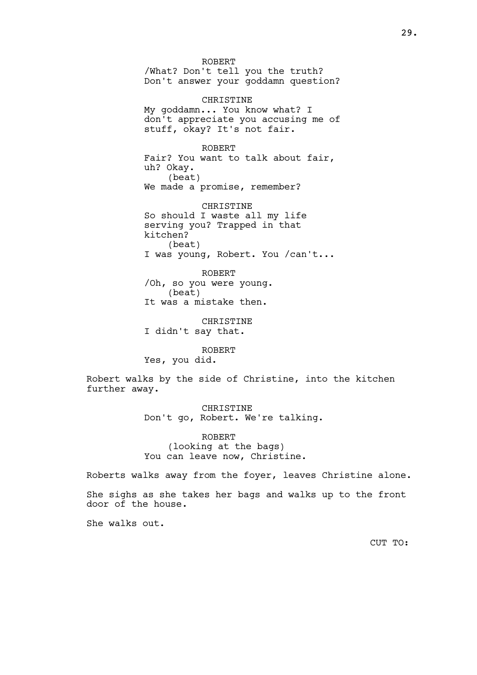ROBERT /What? Don't tell you the truth? Don't answer your goddamn question?

CHRISTINE My goddamn... You know what? I don't appreciate you accusing me of stuff, okay? It's not fair.

ROBERT Fair? You want to talk about fair, uh? Okay. (beat)

We made a promise, remember?

CHRISTINE So should I waste all my life serving you? Trapped in that kitchen? (beat) I was young, Robert. You /can't...

ROBERT /Oh, so you were young. (beat) It was a mistake then.

CHRISTINE I didn't say that.

ROBERT Yes, you did.

Robert walks by the side of Christine, into the kitchen further away.

> CHRISTINE Don't go, Robert. We're talking.

ROBERT (looking at the bags) You can leave now, Christine.

Roberts walks away from the foyer, leaves Christine alone.

She sighs as she takes her bags and walks up to the front door of the house.

She walks out.

CUT TO: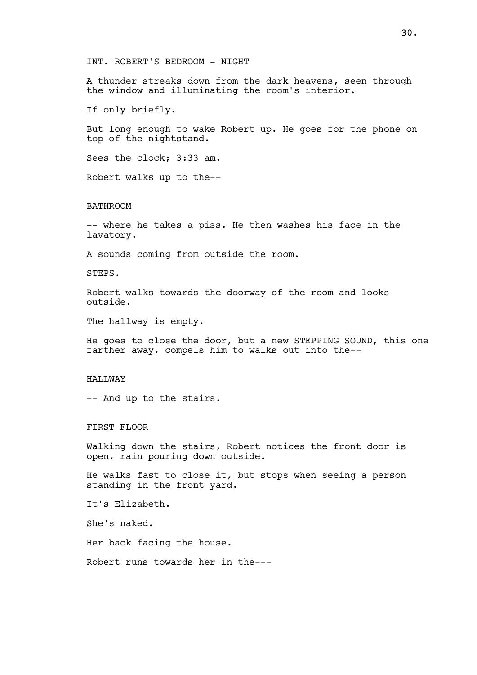INT. ROBERT'S BEDROOM - NIGHT

A thunder streaks down from the dark heavens, seen through the window and illuminating the room's interior.

If only briefly.

But long enough to wake Robert up. He goes for the phone on top of the nightstand.

Sees the clock; 3:33 am.

Robert walks up to the--

# **BATHROOM**

-- where he takes a piss. He then washes his face in the lavatory.

A sounds coming from outside the room.

STEPS.

Robert walks towards the doorway of the room and looks outside.

The hallway is empty.

He goes to close the door, but a new STEPPING SOUND, this one farther away, compels him to walks out into the--

#### HALLWAY

-- And up to the stairs.

FIRST FLOOR

Walking down the stairs, Robert notices the front door is open, rain pouring down outside.

He walks fast to close it, but stops when seeing a person standing in the front yard.

It's Elizabeth.

She's naked.

Her back facing the house.

Robert runs towards her in the---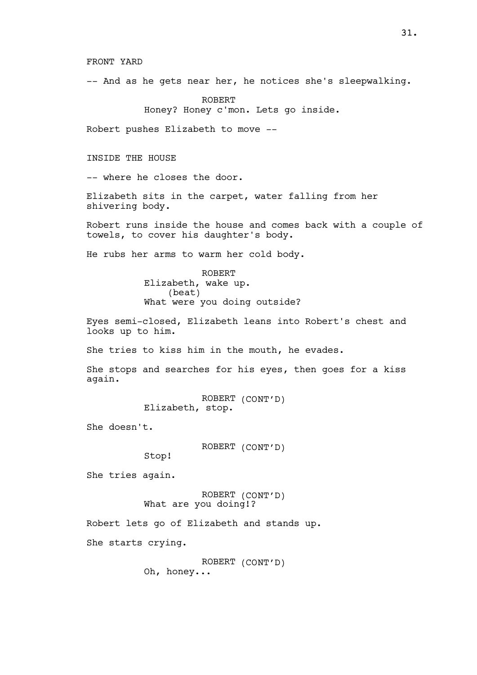FRONT YARD

-- And as he gets near her, he notices she's sleepwalking.

ROBERT Honey? Honey c'mon. Lets go inside.

Robert pushes Elizabeth to move --

INSIDE THE HOUSE

-- where he closes the door.

Elizabeth sits in the carpet, water falling from her shivering body.

Robert runs inside the house and comes back with a couple of towels, to cover his daughter's body.

He rubs her arms to warm her cold body.

ROBERT Elizabeth, wake up. (beat) What were you doing outside?

Eyes semi-closed, Elizabeth leans into Robert's chest and looks up to him.

She tries to kiss him in the mouth, he evades.

She stops and searches for his eyes, then goes for a kiss again.

> ROBERT (CONT'D) Elizabeth, stop.

She doesn't.

ROBERT (CONT'D)

Stop!

She tries again.

ROBERT (CONT'D) What are you doing!?

Robert lets go of Elizabeth and stands up. She starts crying.

ROBERT (CONT'D)

Oh, honey...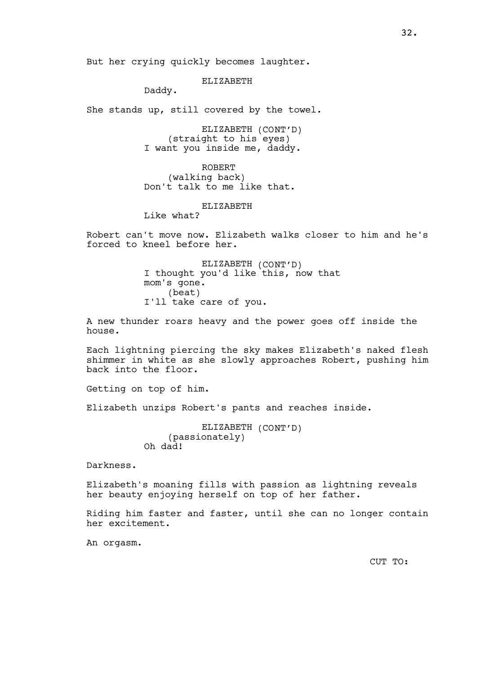But her crying quickly becomes laughter.

ELIZABETH

Daddy.

She stands up, still covered by the towel.

ELIZABETH (CONT'D)  $(\text{straight to his}^\text{best})$ I want you inside me, daddy.

ROBERT (walking back) Don't talk to me like that.

**ELIZABETH** 

Like what?

Robert can't move now. Elizabeth walks closer to him and he's forced to kneel before her.

> ELIZABETH (CONT'D) I thought you'd like this, now that mom's gone. (beat) I'll take care of you.

A new thunder roars heavy and the power goes off inside the house.

Each lightning piercing the sky makes Elizabeth's naked flesh shimmer in white as she slowly approaches Robert, pushing him back into the floor.

Getting on top of him.

Elizabeth unzips Robert's pants and reaches inside.

ELIZABETH (CONT'D) (passionately) Oh dad!

Darkness.

Elizabeth's moaning fills with passion as lightning reveals her beauty enjoying herself on top of her father.

Riding him faster and faster, until she can no longer contain her excitement.

An orgasm.

CUT TO: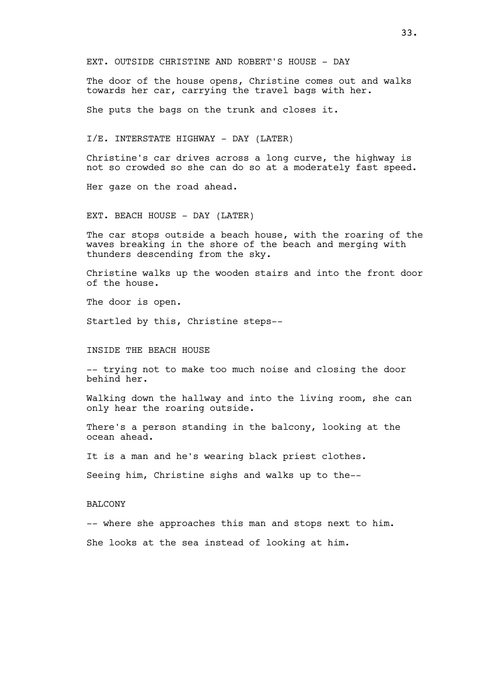EXT. OUTSIDE CHRISTINE AND ROBERT'S HOUSE - DAY

The door of the house opens, Christine comes out and walks towards her car, carrying the travel bags with her.

She puts the bags on the trunk and closes it.

I/E. INTERSTATE HIGHWAY - DAY (LATER)

Christine's car drives across a long curve, the highway is not so crowded so she can do so at a moderately fast speed.

Her gaze on the road ahead.

EXT. BEACH HOUSE - DAY (LATER)

The car stops outside a beach house, with the roaring of the waves breaking in the shore of the beach and merging with thunders descending from the sky.

Christine walks up the wooden stairs and into the front door of the house.

The door is open.

Startled by this, Christine steps--

INSIDE THE BEACH HOUSE

-- trying not to make too much noise and closing the door behind her.

Walking down the hallway and into the living room, she can only hear the roaring outside.

There's a person standing in the balcony, looking at the ocean ahead.

It is a man and he's wearing black priest clothes.

Seeing him, Christine sighs and walks up to the--

# BALCONY

-- where she approaches this man and stops next to him.

She looks at the sea instead of looking at him.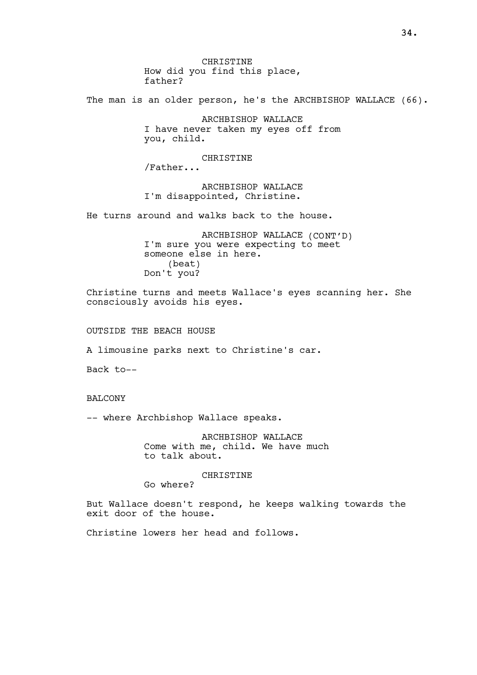**CHRISTINE** How did you find this place, father?

The man is an older person, he's the ARCHBISHOP WALLACE (66).

ARCHBISHOP WALLACE I have never taken my eyes off from you, child.

CHRISTINE

/Father...

ARCHBISHOP WALLACE I'm disappointed, Christine.

He turns around and walks back to the house.

ARCHBISHOP WALLACE (CONT'D) I'm sure you were expecting to meet someone else in here. (beat) Don't you?

Christine turns and meets Wallace's eyes scanning her. She consciously avoids his eyes.

OUTSIDE THE BEACH HOUSE

A limousine parks next to Christine's car.

Back to--

BALCONY

-- where Archbishop Wallace speaks.

ARCHBISHOP WALLACE Come with me, child. We have much to talk about.

**CHRISTINE** 

Go where?

But Wallace doesn't respond, he keeps walking towards the exit door of the house.

Christine lowers her head and follows.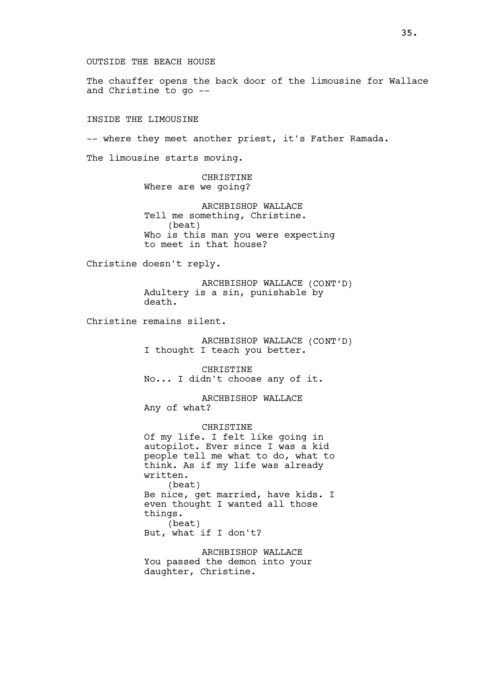### OUTSIDE THE BEACH HOUSE

The chauffer opens the back door of the limousine for Wallace and Christine to go --

#### INSIDE THE LIMOUSINE

-- where they meet another priest, it's Father Ramada.

The limousine starts moving.

CHRISTINE Where are we going?

ARCHBISHOP WALLACE Tell me something, Christine. (beat) Who is this man you were expecting to meet in that house?

Christine doesn't reply.

ARCHBISHOP WALLACE (CONT'D) Adultery is a sin, punishable by death.

Christine remains silent.

ARCHBISHOP WALLACE (CONT'D) I thought I teach you better.

**CHRISTINE** No... I didn't choose any of it.

ARCHBISHOP WALLACE Any of what?

CHRISTINE Of my life. I felt like going in autopilot. Ever since I was a kid people tell me what to do, what to think. As if my life was already written. (beat) Be nice, get married, have kids. I even thought I wanted all those things. (beat) But, what if I don't?

ARCHBISHOP WALLACE You passed the demon into your daughter, Christine.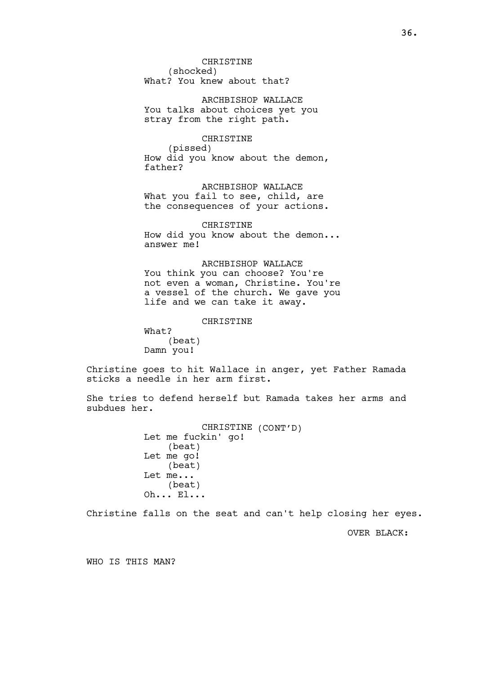**CHRISTINE** (shocked) What? You knew about that?

ARCHBISHOP WALLACE You talks about choices yet you stray from the right path.

## CHRISTINE

(pissed) How did you know about the demon, father?

ARCHBISHOP WALLACE What you fail to see, child, are the consequences of your actions.

# CHRISTINE

How did you know about the demon... answer me!

### ARCHBISHOP WALLACE

You think you can choose? You're not even a woman, Christine. You're a vessel of the church. We gave you life and we can take it away.

#### CHRISTINE

What? (beat) Damn you!

Christine goes to hit Wallace in anger, yet Father Ramada sticks a needle in her arm first.

She tries to defend herself but Ramada takes her arms and subdues her.

> CHRISTINE (CONT'D) Let me fuckin' go! (beat) Let me go! (beat) Let me... (beat) Oh... El...

Christine falls on the seat and can't help closing her eyes.

OVER BLACK:

WHO IS THIS MAN?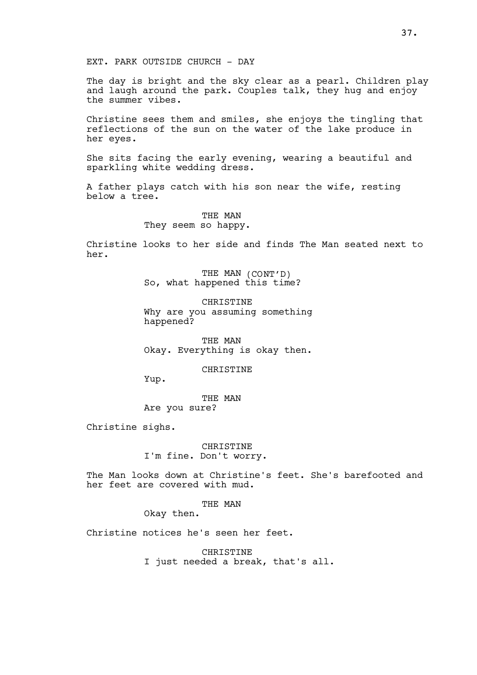EXT. PARK OUTSIDE CHURCH - DAY

The day is bright and the sky clear as a pearl. Children play and laugh around the park. Couples talk, they hug and enjoy the summer vibes.

Christine sees them and smiles, she enjoys the tingling that reflections of the sun on the water of the lake produce in her eyes.

She sits facing the early evening, wearing a beautiful and sparkling white wedding dress.

A father plays catch with his son near the wife, resting below a tree.

> THE MAN They seem so happy.

Christine looks to her side and finds The Man seated next to her.

> THE MAN (CONT'D) So, what happened this time?

CHRISTINE Why are you assuming something happened?

THE MAN Okay. Everything is okay then.

**CHRISTINE** 

Yup.

THE MAN Are you sure?

Christine sighs.

CHRISTINE I'm fine. Don't worry.

The Man looks down at Christine's feet. She's barefooted and her feet are covered with mud.

THE MAN

Okay then.

Christine notices he's seen her feet.

**CHRISTINE** I just needed a break, that's all.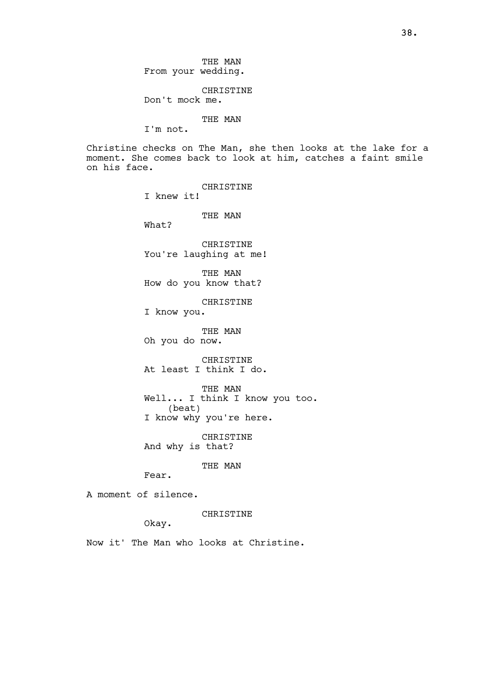THE MAN From your wedding.

CHRISTINE

Don't mock me.

THE MAN

I'm not.

Christine checks on The Man, she then looks at the lake for a moment. She comes back to look at him, catches a faint smile on his face.

CHRISTINE

I knew it!

THE MAN

What?

CHRISTINE You're laughing at me!

THE MAN How do you know that?

CHRISTINE

I know you.

THE MAN

Oh you do now.

CHRISTINE At least I think I do.

THE MAN Well... I think I know you too. (beat) I know why you're here.

CHRISTINE And why is that?

THE MAN

Fear.

A moment of silence.

# CHRISTINE

Okay.

Now it' The Man who looks at Christine.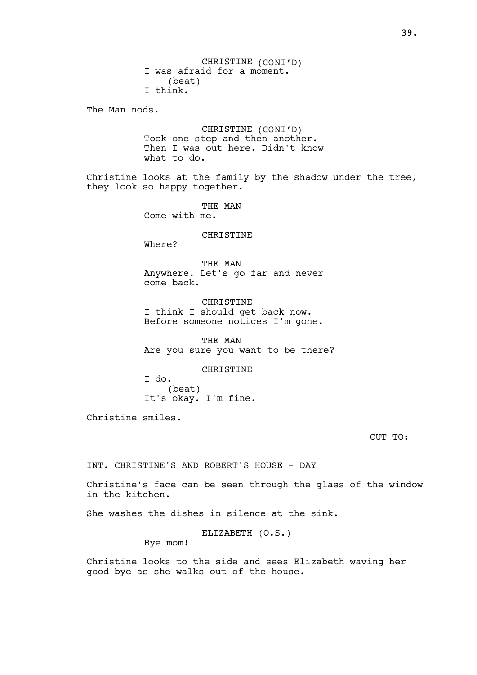CHRISTINE (CONT'D) I was afraid for a moment. (beat) I think. The Man nods. CHRISTINE (CONT'D) Took one step and then another. Then I was out here. Didn't know what to do. Christine looks at the family by the shadow under the tree, they look so happy together. THE MAN Come with me. **CHRISTINE** Where? THE MAN Anywhere. Let's go far and never come back. CHRISTINE I think I should get back now. Before someone notices I'm gone. THE MAN Are you sure you want to be there? **CHRISTINE** I do. (beat) It's okay. I'm fine. Christine smiles. CUT TO: INT. CHRISTINE'S AND ROBERT'S HOUSE - DAY Christine's face can be seen through the glass of the window in the kitchen. She washes the dishes in silence at the sink.

ELIZABETH (O.S.)

Bye mom!

Christine looks to the side and sees Elizabeth waving her good-bye as she walks out of the house.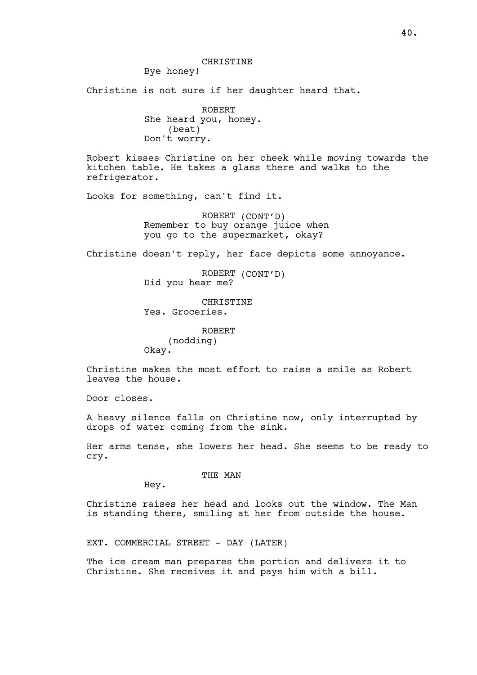#### **CHRISTINE**

Bye honey!

Christine is not sure if her daughter heard that.

ROBERT She heard you, honey. (beat) Don't worry.

Robert kisses Christine on her cheek while moving towards the kitchen table. He takes a glass there and walks to the refrigerator.

Looks for something, can't find it.

ROBERT (CONT'D) Remember to buy orange juice when you go to the supermarket, okay?

Christine doesn't reply, her face depicts some annoyance.

ROBERT (CONT'D) Did you hear me?

**CHRISTINE** Yes. Groceries.

ROBERT (nodding) Okay.

Christine makes the most effort to raise a smile as Robert leaves the house.

Door closes.

A heavy silence falls on Christine now, only interrupted by drops of water coming from the sink.

Her arms tense, she lowers her head. She seems to be ready to cry.

THE MAN

Hey.

Christine raises her head and looks out the window. The Man is standing there, smiling at her from outside the house.

EXT. COMMERCIAL STREET - DAY (LATER)

The ice cream man prepares the portion and delivers it to Christine. She receives it and pays him with a bill.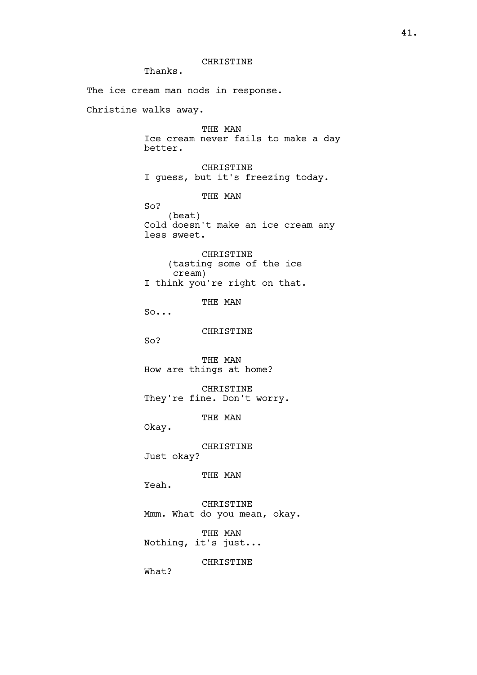### CHRISTINE

Thanks.

The ice cream man nods in response.

Christine walks away.

THE MAN Ice cream never fails to make a day better.

CHRISTINE I guess, but it's freezing today.

THE MAN

So? (beat) Cold doesn't make an ice cream any less sweet.

CHRISTINE (tasting some of the ice cream) I think you're right on that.

THE MAN

So...

CHRISTINE

So?

THE MAN How are things at home?

CHRISTINE They're fine. Don't worry.

THE MAN

Okay.

CHRISTINE Just okay?

THE MAN

Yeah.

CHRISTINE Mmm. What do you mean, okay.

THE MAN Nothing, it's just...

CHRISTINE

What?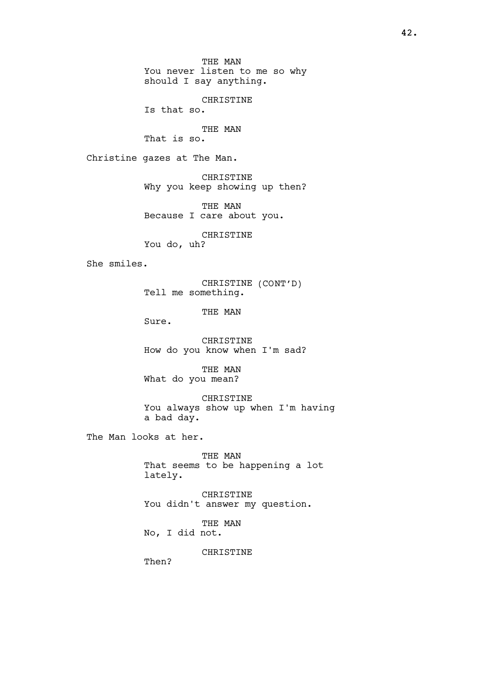THE MAN You never listen to me so why should I say anything.

CHRISTINE

Is that so.

THE MAN

That is so.

Christine gazes at The Man.

CHRISTINE Why you keep showing up then?

THE MAN Because I care about you.

CHRISTINE You do, uh?

She smiles.

CHRISTINE (CONT'D) Tell me something.

THE MAN

Sure.

CHRISTINE How do you know when I'm sad?

THE MAN What do you mean?

CHRISTINE You always show up when I'm having a bad day.

The Man looks at her.

THE MAN That seems to be happening a lot lately.

CHRISTINE You didn't answer my question.

THE MAN No, I did not.

**CHRISTINE** 

Then?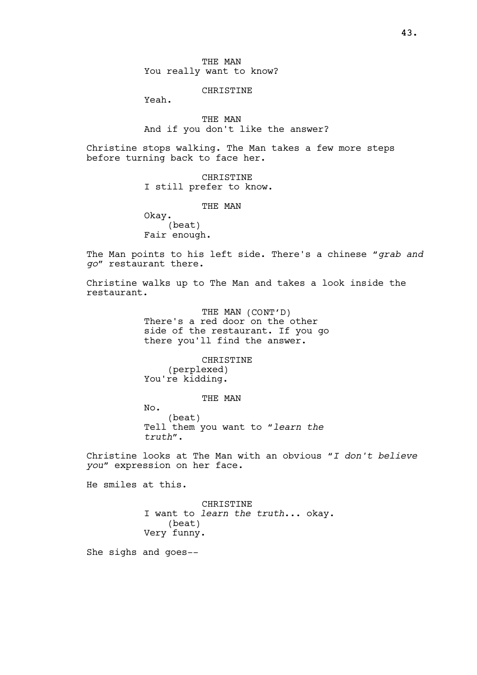THE MAN You really want to know?

CHRISTINE

Yeah.

# THE MAN And if you don't like the answer?

Christine stops walking. The Man takes a few more steps before turning back to face her.

> CHRISTINE I still prefer to know.

> > THE MAN

Okay. (beat) Fair enough.

The Man points to his left side. There's a chinese "grab and go" restaurant there.

Christine walks up to The Man and takes a look inside the restaurant.

> THE MAN (CONT'D) There's a red door on the other side of the restaurant. If you go there you'll find the answer.

CHRISTINE (perplexed) You're kidding.

THE MAN

No. (beat) Tell them you want to "learn the truth".

Christine looks at The Man with an obvious "I don't believe you" expression on her face.

He smiles at this.

CHRISTINE I want to *learn the truth...* okay. (beat) Very funny.

She sighs and goes--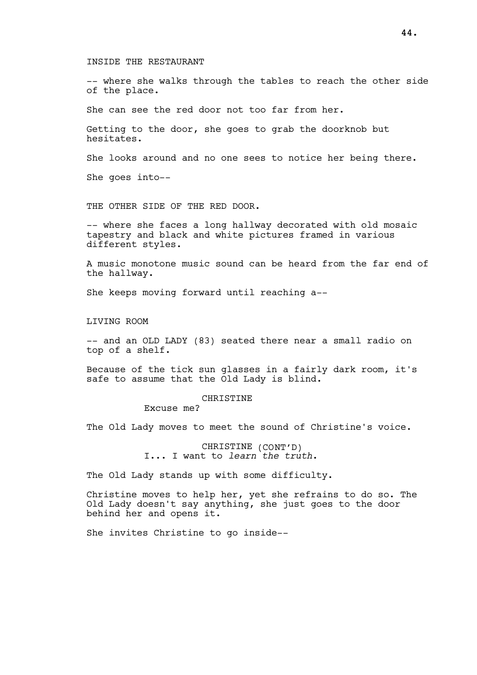### INSIDE THE RESTAURANT

-- where she walks through the tables to reach the other side of the place.

She can see the red door not too far from her.

Getting to the door, she goes to grab the doorknob but hesitates.

She looks around and no one sees to notice her being there.

She goes into--

THE OTHER SIDE OF THE RED DOOR.

-- where she faces a long hallway decorated with old mosaic tapestry and black and white pictures framed in various different styles.

A music monotone music sound can be heard from the far end of the hallway.

She keeps moving forward until reaching a--

LIVING ROOM

-- and an OLD LADY (83) seated there near a small radio on top of a shelf.

Because of the tick sun glasses in a fairly dark room, it's safe to assume that the Old Lady is blind.

#### CHRISTINE

Excuse me?

The Old Lady moves to meet the sound of Christine's voice.

CHRISTINE (CONT'D) I... I want to learn the truth.

The Old Lady stands up with some difficulty.

Christine moves to help her, yet she refrains to do so. The Old Lady doesn't say anything, she just goes to the door behind her and opens it.

She invites Christine to go inside--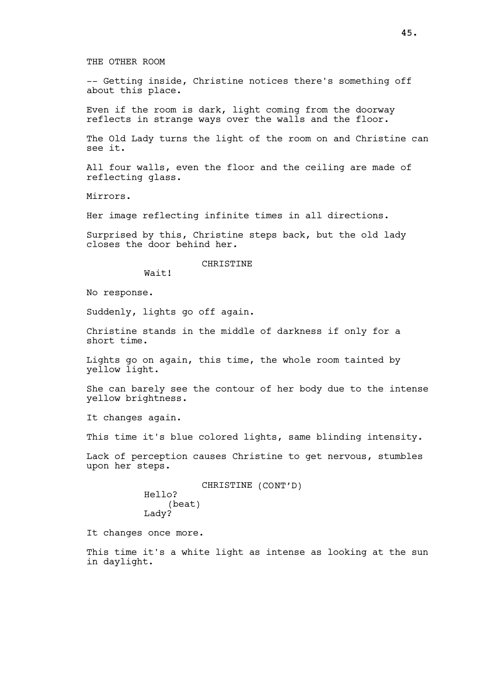THE OTHER ROOM

-- Getting inside, Christine notices there's something off about this place.

Even if the room is dark, light coming from the doorway reflects in strange ways over the walls and the floor.

The Old Lady turns the light of the room on and Christine can see it.

All four walls, even the floor and the ceiling are made of reflecting glass.

Mirrors.

Her image reflecting infinite times in all directions.

Surprised by this, Christine steps back, but the old lady closes the door behind her.

#### **CHRISTINE**

Wait!

No response.

Suddenly, lights go off again.

Christine stands in the middle of darkness if only for a short time.

Lights go on again, this time, the whole room tainted by yellow light.

She can barely see the contour of her body due to the intense yellow brightness.

It changes again.

This time it's blue colored lights, same blinding intensity.

Lack of perception causes Christine to get nervous, stumbles upon her steps.

> CHRISTINE (CONT'D) Hello? (beat) Lady?

It changes once more.

This time it's a white light as intense as looking at the sun in daylight.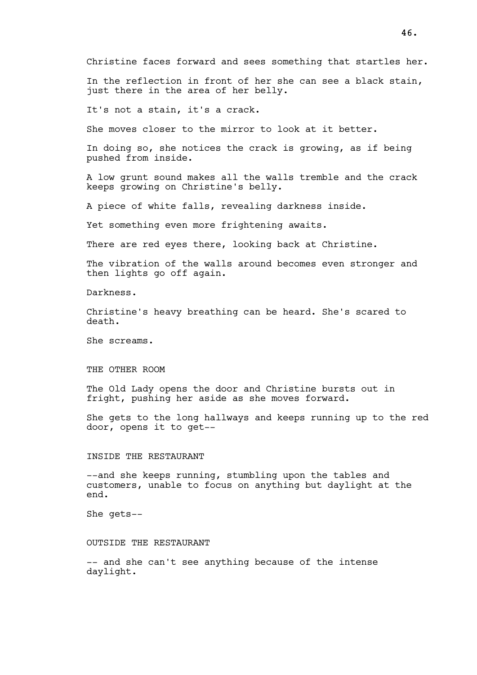Christine faces forward and sees something that startles her.

In the reflection in front of her she can see a black stain, just there in the area of her belly.

It's not a stain, it's a crack.

She moves closer to the mirror to look at it better.

In doing so, she notices the crack is growing, as if being pushed from inside.

A low grunt sound makes all the walls tremble and the crack keeps growing on Christine's belly.

A piece of white falls, revealing darkness inside.

Yet something even more frightening awaits.

There are red eyes there, looking back at Christine.

The vibration of the walls around becomes even stronger and then lights go off again.

Darkness.

Christine's heavy breathing can be heard. She's scared to death.

She screams.

THE OTHER ROOM

The Old Lady opens the door and Christine bursts out in fright, pushing her aside as she moves forward.

She gets to the long hallways and keeps running up to the red door, opens it to get--

#### INSIDE THE RESTAURANT

--and she keeps running, stumbling upon the tables and customers, unable to focus on anything but daylight at the end.

She gets--

OUTSIDE THE RESTAURANT

-- and she can't see anything because of the intense daylight.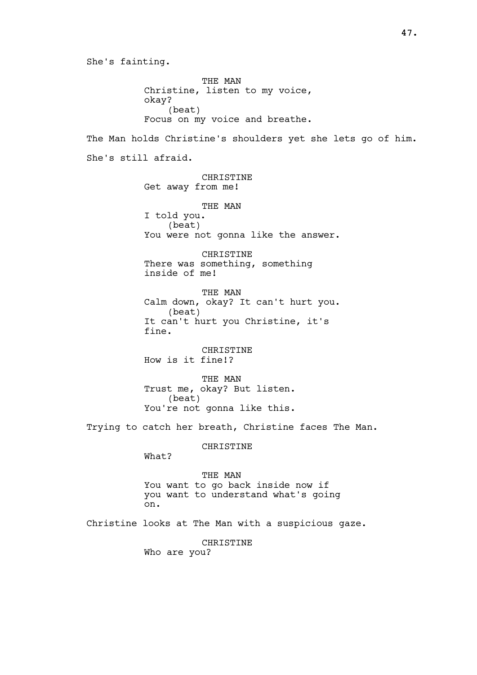She's fainting.

THE MAN Christine, listen to my voice, okay? (beat) Focus on my voice and breathe.

The Man holds Christine's shoulders yet she lets go of him. She's still afraid.

> CHRISTINE Get away from me!

THE MAN I told you. (beat) You were not gonna like the answer.

CHRISTINE There was something, something inside of me!

THE MAN Calm down, okay? It can't hurt you. (beat) It can't hurt you Christine, it's fine.

CHRISTINE How is it fine!?

THE MAN Trust me, okay? But listen. (beat) You're not gonna like this.

Trying to catch her breath, Christine faces The Man.

## CHRISTINE

What?

THE MAN You want to go back inside now if you want to understand what's going on.

Christine looks at The Man with a suspicious gaze.

CHRISTINE

Who are you?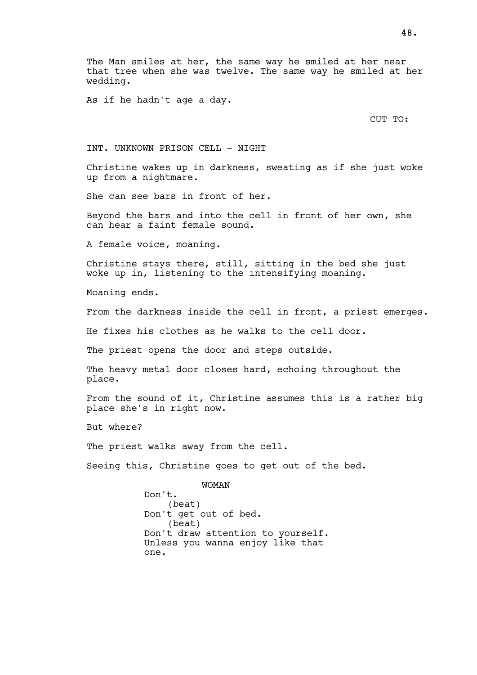The Man smiles at her, the same way he smiled at her near that tree when she was twelve. The same way he smiled at her wedding.

As if he hadn't age a day.

CUT TO:

INT. UNKNOWN PRISON CELL - NIGHT

Christine wakes up in darkness, sweating as if she just woke up from a nightmare.

She can see bars in front of her.

Beyond the bars and into the cell in front of her own, she can hear a faint female sound.

A female voice, moaning.

Christine stays there, still, sitting in the bed she just woke up in, listening to the intensifying moaning.

Moaning ends.

From the darkness inside the cell in front, a priest emerges.

He fixes his clothes as he walks to the cell door.

The priest opens the door and steps outside.

The heavy metal door closes hard, echoing throughout the place.

From the sound of it, Christine assumes this is a rather big place she's in right now.

But where?

The priest walks away from the cell.

Seeing this, Christine goes to get out of the bed.

WOMAN

Don't. (beat) Don't get out of bed. (beat) Don't draw attention to yourself. Unless you wanna enjoy like that one.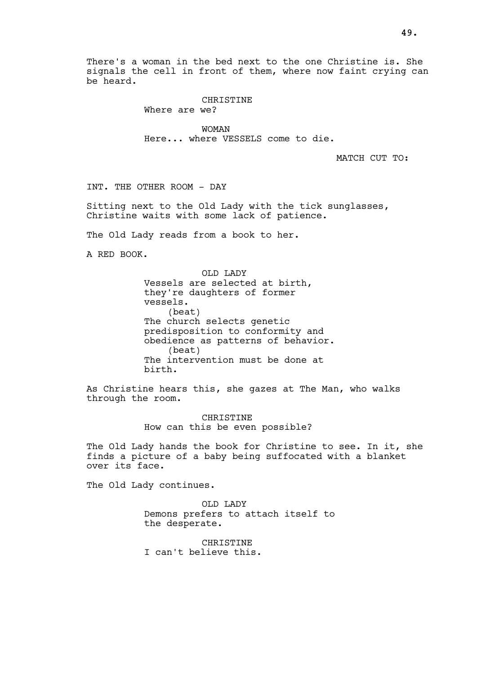There's a woman in the bed next to the one Christine is. She signals the cell in front of them, where now faint crying can be heard.

> CHRISTINE Where are we?

WOMAN

Here... where VESSELS come to die.

MATCH CUT TO:

INT. THE OTHER ROOM - DAY

Sitting next to the Old Lady with the tick sunglasses, Christine waits with some lack of patience.

The Old Lady reads from a book to her.

A RED BOOK.

OLD LADY Vessels are selected at birth, they're daughters of former vessels. (beat) The church selects genetic predisposition to conformity and obedience as patterns of behavior. (beat) The intervention must be done at birth.

As Christine hears this, she gazes at The Man, who walks through the room.

> CHRISTINE How can this be even possible?

The Old Lady hands the book for Christine to see. In it, she finds a picture of a baby being suffocated with a blanket over its face.

The Old Lady continues.

OLD LADY Demons prefers to attach itself to the desperate.

**CHRISTINE** I can't believe this.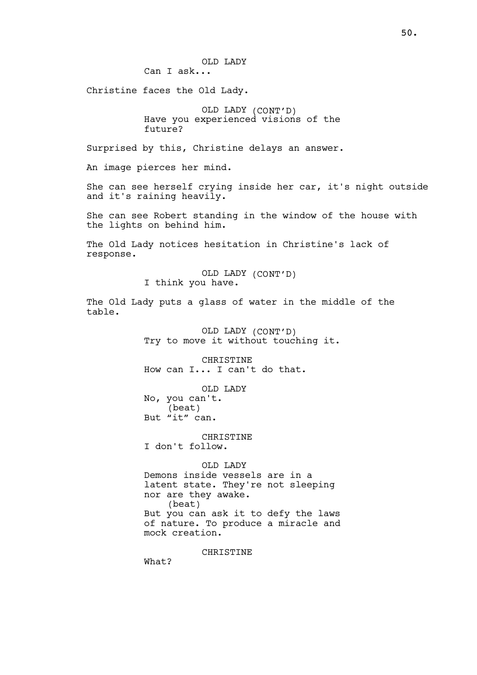OLD LADY

Can I ask...

Christine faces the Old Lady.

OLD LADY (CONT'D) Have you experienced visions of the future?

Surprised by this, Christine delays an answer.

An image pierces her mind.

She can see herself crying inside her car, it's night outside and it's raining heavily.

She can see Robert standing in the window of the house with the lights on behind him.

The Old Lady notices hesitation in Christine's lack of response.

> OLD LADY (CONT'D) I think you have.

The Old Lady puts a glass of water in the middle of the table.

> OLD LADY (CONT'D) Try to move it without touching it.

CHRISTINE How can I... I can't do that.

OLD LADY No, you can't. (beat) But "it" can.

**CHRISTINE** I don't follow.

OLD LADY Demons inside vessels are in a latent state. They're not sleeping nor are they awake. (beat) But you can ask it to defy the laws of nature. To produce a miracle and mock creation.

**CHRISTINE** 

What?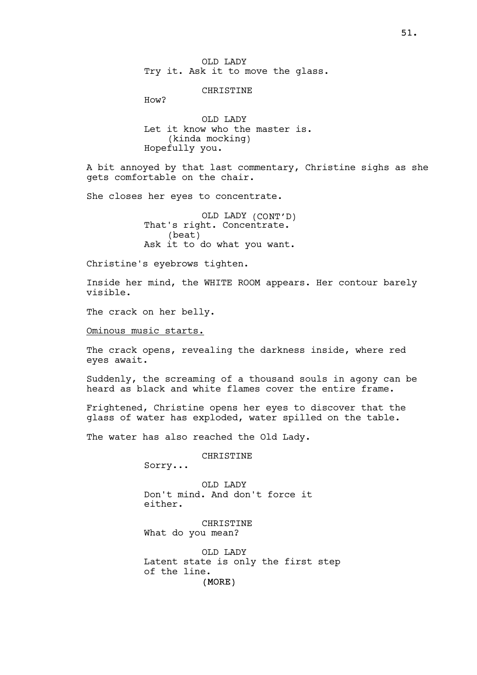CHRISTINE

How?

OLD LADY Let it know who the master is. (kinda mocking) Hopefully you.

A bit annoyed by that last commentary, Christine sighs as she gets comfortable on the chair.

She closes her eyes to concentrate.

OLD LADY (CONT'D) That's right. Concentrate. (beat) Ask it to do what you want.

Christine's eyebrows tighten.

Inside her mind, the WHITE ROOM appears. Her contour barely visible.

The crack on her belly.

Ominous music starts.

The crack opens, revealing the darkness inside, where red eyes await.

Suddenly, the screaming of a thousand souls in agony can be heard as black and white flames cover the entire frame.

Frightened, Christine opens her eyes to discover that the glass of water has exploded, water spilled on the table.

The water has also reached the Old Lady.

CHRISTINE

Sorry...

OLD LADY Don't mind. And don't force it either.

**CHRISTINE** What do you mean?

OLD LADY Latent state is only the first step of the line.

(MORE)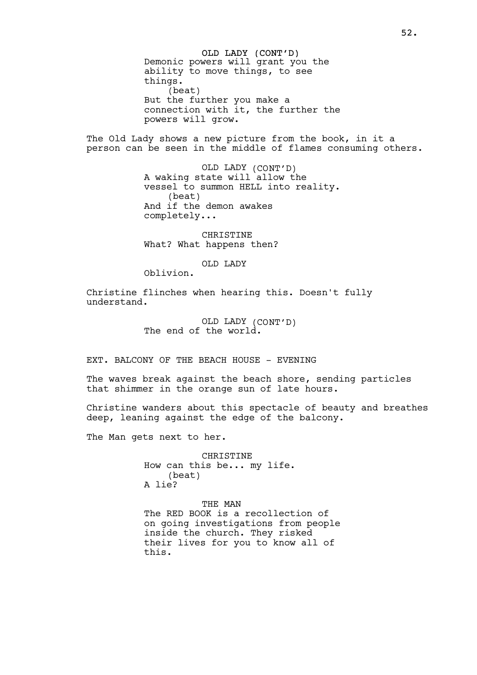OLD LADY (CONT'D) Demonic powers will grant you the ability to move things, to see things. (beat) But the further you make a connection with it, the further the powers will grow.

The Old Lady shows a new picture from the book, in it a person can be seen in the middle of flames consuming others.

> OLD LADY (CONT'D) A waking state will allow the vessel to summon HELL into reality. (beat) And if the demon awakes completely...

**CHRISTINE** What? What happens then?

OLD LADY

Oblivion.

Christine flinches when hearing this. Doesn't fully understand.

> OLD LADY (CONT'D) The end of the world.

EXT. BALCONY OF THE BEACH HOUSE - EVENING

The waves break against the beach shore, sending particles that shimmer in the orange sun of late hours.

Christine wanders about this spectacle of beauty and breathes deep, leaning against the edge of the balcony.

The Man gets next to her.

CHRISTINE How can this be... my life. (beat) A lie?

THE MAN The RED BOOK is a recollection of on going investigations from people inside the church. They risked their lives for you to know all of this.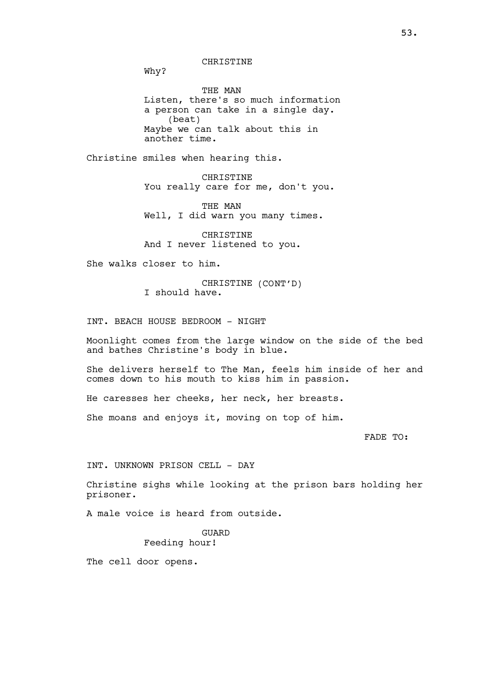**CHRISTINE** 

Why?

THE MAN Listen, there's so much information a person can take in a single day. (beat) Maybe we can talk about this in another time.

Christine smiles when hearing this.

CHRISTINE You really care for me, don't you.

THE MAN Well, I did warn you many times.

CHRISTINE And I never listened to you.

She walks closer to him.

CHRISTINE (CONT'D) I should have.

INT. BEACH HOUSE BEDROOM - NIGHT

Moonlight comes from the large window on the side of the bed and bathes Christine's body in blue.

She delivers herself to The Man, feels him inside of her and comes down to his mouth to kiss him in passion.

He caresses her cheeks, her neck, her breasts.

She moans and enjoys it, moving on top of him.

FADE TO:

INT. UNKNOWN PRISON CELL - DAY

Christine sighs while looking at the prison bars holding her prisoner.

A male voice is heard from outside.

GUARD Feeding hour!

The cell door opens.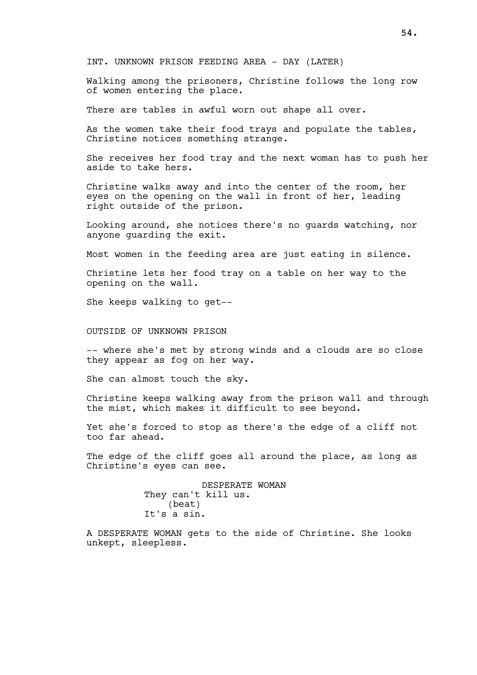INT. UNKNOWN PRISON FEEDING AREA - DAY (LATER)

Walking among the prisoners, Christine follows the long row of women entering the place.

There are tables in awful worn out shape all over.

As the women take their food trays and populate the tables, Christine notices something strange.

She receives her food tray and the next woman has to push her aside to take hers.

Christine walks away and into the center of the room, her eyes on the opening on the wall in front of her, leading right outside of the prison.

Looking around, she notices there's no guards watching, nor anyone guarding the exit.

Most women in the feeding area are just eating in silence.

Christine lets her food tray on a table on her way to the opening on the wall.

She keeps walking to get--

OUTSIDE OF UNKNOWN PRISON

-- where she's met by strong winds and a clouds are so close they appear as fog on her way.

She can almost touch the sky.

Christine keeps walking away from the prison wall and through the mist, which makes it difficult to see beyond.

Yet she's forced to stop as there's the edge of a cliff not too far ahead.

The edge of the cliff goes all around the place, as long as Christine's eyes can see.

> DESPERATE WOMAN They can't kill us. (beat) It's a sin.

A DESPERATE WOMAN gets to the side of Christine. She looks unkept, sleepless.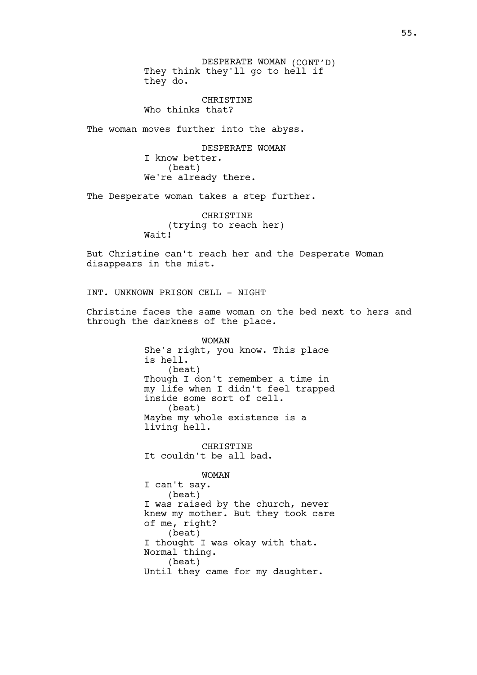DESPERATE WOMAN (CONT'D) They think they'll go to hell if they do.

CHRISTINE Who thinks that?

The woman moves further into the abyss.

DESPERATE WOMAN I know better. (beat) We're already there.

The Desperate woman takes a step further.

CHRISTINE (trying to reach her) Wait!

But Christine can't reach her and the Desperate Woman disappears in the mist.

INT. UNKNOWN PRISON CELL - NIGHT

Christine faces the same woman on the bed next to hers and through the darkness of the place.

> WOMAN She's right, you know. This place is hell. (beat) Though I don't remember a time in my life when I didn't feel trapped inside some sort of cell. (beat) Maybe my whole existence is a living hell.

CHRISTINE It couldn't be all bad.

WOMAN I can't say. (beat) I was raised by the church, never knew my mother. But they took care of me, right? (beat) I thought I was okay with that. Normal thing. (beat) Until they came for my daughter.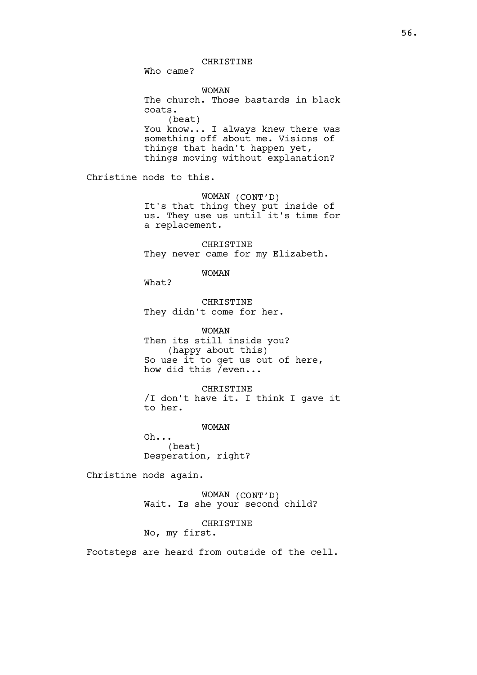CHRISTINE

Who came?

WOMAN The church. Those bastards in black coats. (beat) You know... I always knew there was something off about me. Visions of things that hadn't happen yet, things moving without explanation?

Christine nods to this.

WOMAN (CONT'D) It's that thing they put inside of us. They use us until it's time for a replacement.

CHRISTINE They never came for my Elizabeth.

## WOMAN

What?

CHRISTINE They didn't come for her.

WOMAN Then its still inside you? (happy about this) So use it to get us out of here, how did this /even...

CHRISTINE /I don't have it. I think I gave it to her.

WOMAN

Oh... (beat) Desperation, right?

Christine nods again.

WOMAN (CONT'D) Wait. Is she your second child?

# CHRISTINE

No, my first.

Footsteps are heard from outside of the cell.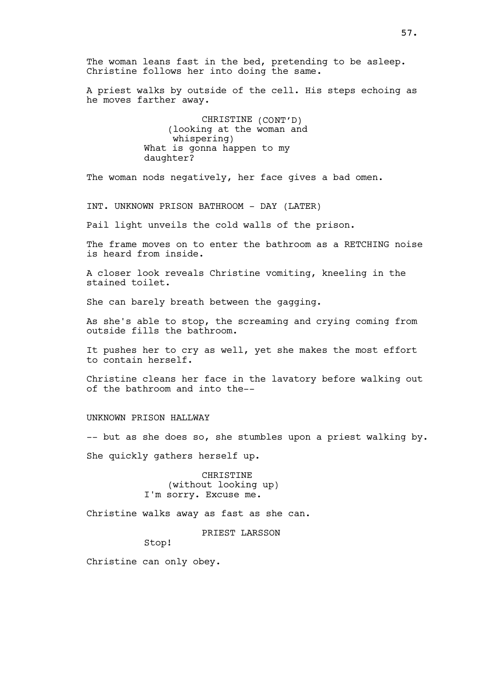The woman leans fast in the bed, pretending to be asleep. Christine follows her into doing the same.

A priest walks by outside of the cell. His steps echoing as he moves farther away.

> CHRISTINE (CONT'D) (looking at the woman and whispering) What is gonna happen to my daughter?

The woman nods negatively, her face gives a bad omen.

INT. UNKNOWN PRISON BATHROOM - DAY (LATER)

Pail light unveils the cold walls of the prison.

The frame moves on to enter the bathroom as a RETCHING noise is heard from inside.

A closer look reveals Christine vomiting, kneeling in the stained toilet.

She can barely breath between the gagging.

As she's able to stop, the screaming and crying coming from outside fills the bathroom.

It pushes her to cry as well, yet she makes the most effort to contain herself.

Christine cleans her face in the lavatory before walking out of the bathroom and into the--

UNKNOWN PRISON HALLWAY

-- but as she does so, she stumbles upon a priest walking by. She quickly gathers herself up.

> **CHRISTINE** (without looking up) I'm sorry. Excuse me.

Christine walks away as fast as she can.

PRIEST LARSSON

Stop!

Christine can only obey.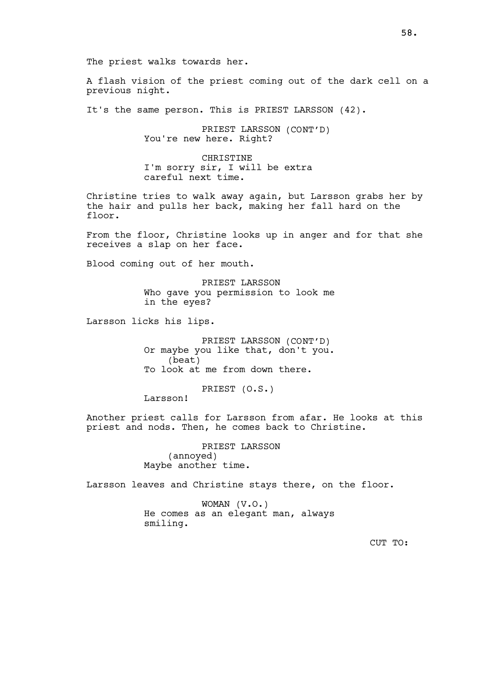The priest walks towards her.

A flash vision of the priest coming out of the dark cell on a previous night.

It's the same person. This is PRIEST LARSSON (42).

PRIEST LARSSON (CONT'D) You're new here. Right?

CHRISTINE I'm sorry sir, I will be extra careful next time.

Christine tries to walk away again, but Larsson grabs her by the hair and pulls her back, making her fall hard on the floor.

From the floor, Christine looks up in anger and for that she receives a slap on her face.

Blood coming out of her mouth.

PRIEST LARSSON Who gave you permission to look me in the eyes?

Larsson licks his lips.

PRIEST LARSSON (CONT'D) Or maybe you like that, don't you. (beat) To look at me from down there.

PRIEST (O.S.)

Larsson!

Another priest calls for Larsson from afar. He looks at this priest and nods. Then, he comes back to Christine.

> PRIEST LARSSON (annoyed) Maybe another time.

Larsson leaves and Christine stays there, on the floor.

WOMAN (V.O.) He comes as an elegant man, always smiling.

CUT TO: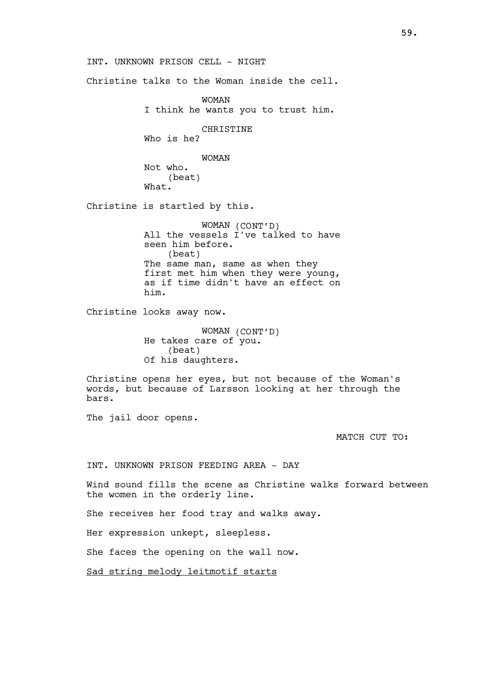INT. UNKNOWN PRISON CELL - NIGHT Christine talks to the Woman inside the cell. WOMAN I think he wants you to trust him. CHRISTINE Who is he? WOMAN Not who. (beat) What. Christine is startled by this. WOMAN (CONT'D) All the vessels I've talked to have seen him before. (beat) The same man, same as when they first met him when they were young, as if time didn't have an effect on him. Christine looks away now. WOMAN (CONT'D) He takes care of you. (beat) Of his daughters. Christine opens her eyes, but not because of the Woman's words, but because of Larsson looking at her through the bars. The jail door opens. MATCH CUT TO: INT. UNKNOWN PRISON FEEDING AREA - DAY Wind sound fills the scene as Christine walks forward between the women in the orderly line. She receives her food tray and walks away. Her expression unkept, sleepless. She faces the opening on the wall now. Sad string melody leitmotif starts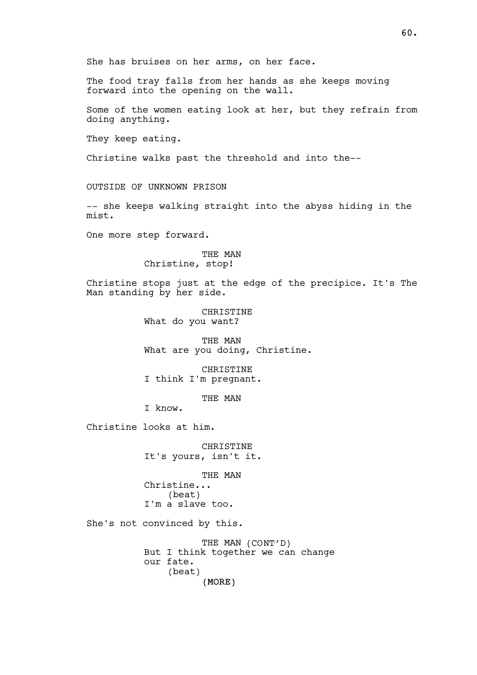She has bruises on her arms, on her face.

The food tray falls from her hands as she keeps moving forward into the opening on the wall.

Some of the women eating look at her, but they refrain from doing anything.

They keep eating.

Christine walks past the threshold and into the--

OUTSIDE OF UNKNOWN PRISON

-- she keeps walking straight into the abyss hiding in the mist.

One more step forward.

# THE MAN Christine, stop!

Christine stops just at the edge of the precipice. It's The Man standing by her side.

> CHRISTINE What do you want?

THE MAN What are you doing, Christine.

CHRISTINE I think I'm pregnant.

THE MAN

I know.

Christine looks at him.

CHRISTINE It's yours, isn't it.

THE MAN Christine... (beat) I'm a slave too.

She's not convinced by this.

(MORE) THE MAN (CONT'D) But I think together we can change our fate. (beat)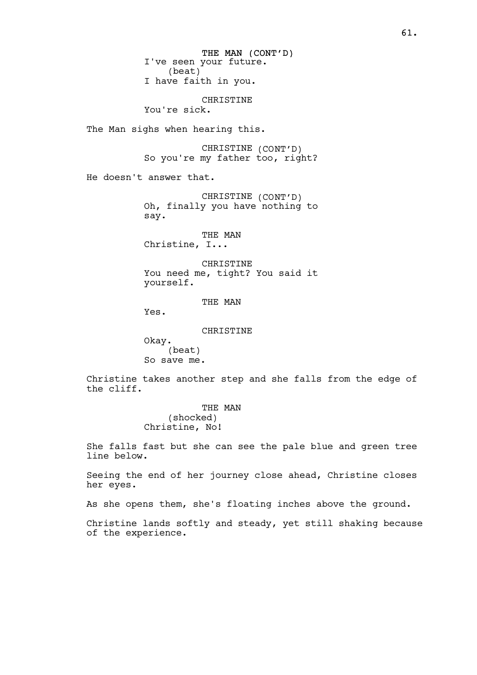THE MAN (CONT'D) I've seen your future. (beat) I have faith in you.

CHRISTINE You're sick.

The Man sighs when hearing this.

CHRISTINE (CONT'D) So you're my father too, right?

He doesn't answer that.

CHRISTINE (CONT'D) Oh, finally you have nothing to say.

THE MAN Christine, I...

**CHRISTINE** You need me, tight? You said it yourself.

THE MAN

Yes.

CHRISTINE

Okay. (beat) So save me.

Christine takes another step and she falls from the edge of the cliff.

> THE MAN (shocked) Christine, No!

She falls fast but she can see the pale blue and green tree line below.

Seeing the end of her journey close ahead, Christine closes her eyes.

As she opens them, she's floating inches above the ground.

Christine lands softly and steady, yet still shaking because of the experience.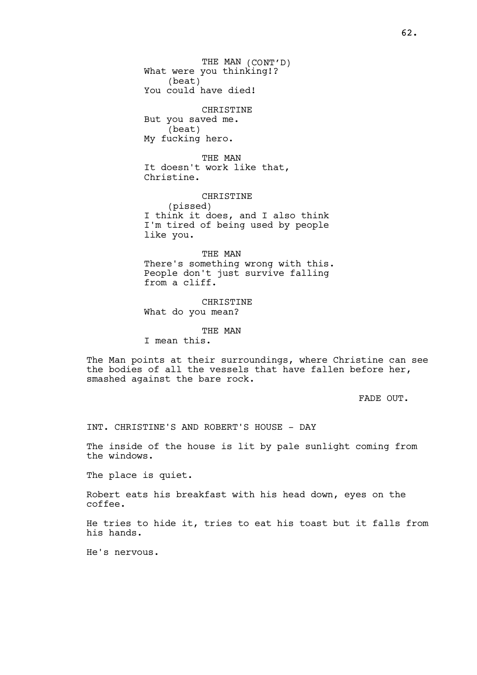THE MAN (CONT'D) What were you thinking!? (beat) You could have died! CHRISTINE But you saved me. (beat) My fucking hero. THE MAN

It doesn't work like that, Christine.

CHRISTINE (pissed) I think it does, and I also think I'm tired of being used by people like you.

THE MAN There's something wrong with this. People don't just survive falling from a cliff.

CHRISTINE What do you mean?

THE MAN

I mean this.

The Man points at their surroundings, where Christine can see the bodies of all the vessels that have fallen before her, smashed against the bare rock.

FADE OUT.

INT. CHRISTINE'S AND ROBERT'S HOUSE - DAY

The inside of the house is lit by pale sunlight coming from the windows.

The place is quiet.

Robert eats his breakfast with his head down, eyes on the coffee.

He tries to hide it, tries to eat his toast but it falls from his hands.

He's nervous.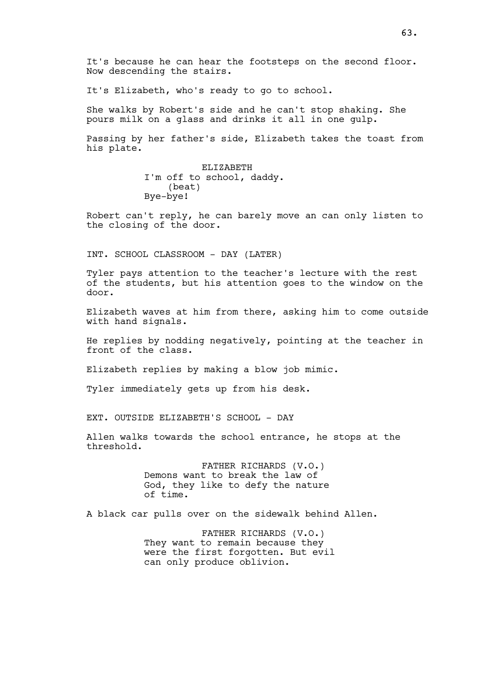It's because he can hear the footsteps on the second floor. Now descending the stairs.

It's Elizabeth, who's ready to go to school.

She walks by Robert's side and he can't stop shaking. She pours milk on a glass and drinks it all in one gulp.

Passing by her father's side, Elizabeth takes the toast from his plate.

> **ELIZABETH** I'm off to school, daddy. (beat) Bye-bye!

Robert can't reply, he can barely move an can only listen to the closing of the door.

INT. SCHOOL CLASSROOM - DAY (LATER)

Tyler pays attention to the teacher's lecture with the rest of the students, but his attention goes to the window on the door.

Elizabeth waves at him from there, asking him to come outside with hand signals.

He replies by nodding negatively, pointing at the teacher in front of the class.

Elizabeth replies by making a blow job mimic.

Tyler immediately gets up from his desk.

EXT. OUTSIDE ELIZABETH'S SCHOOL - DAY

Allen walks towards the school entrance, he stops at the threshold.

> FATHER RICHARDS (V.O.) Demons want to break the law of God, they like to defy the nature of time.

A black car pulls over on the sidewalk behind Allen.

FATHER RICHARDS (V.O.) They want to remain because they were the first forgotten. But evil can only produce oblivion.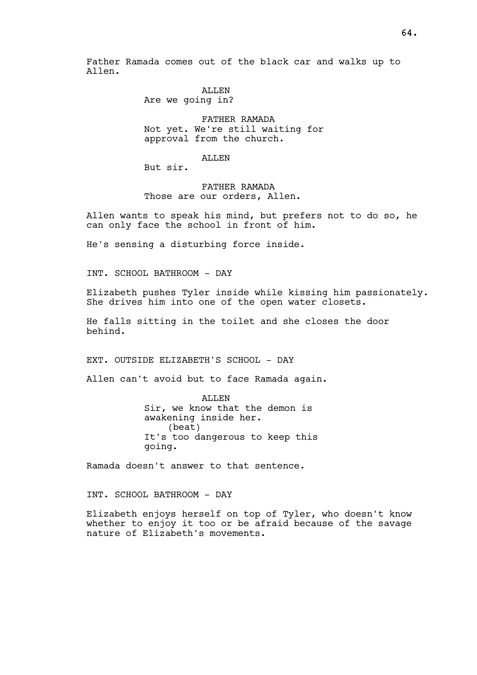Father Ramada comes out of the black car and walks up to Allen.

> ALLEN Are we going in?

FATHER RAMADA Not yet. We're still waiting for approval from the church.

#### ALLEN

But sir.

# FATHER RAMADA Those are our orders, Allen.

Allen wants to speak his mind, but prefers not to do so, he can only face the school in front of him.

He's sensing a disturbing force inside.

INT. SCHOOL BATHROOM - DAY

Elizabeth pushes Tyler inside while kissing him passionately. She drives him into one of the open water closets.

He falls sitting in the toilet and she closes the door behind.

EXT. OUTSIDE ELIZABETH'S SCHOOL - DAY

Allen can't avoid but to face Ramada again.

ALLEN Sir, we know that the demon is awakening inside her. (beat) It's too dangerous to keep this going.

Ramada doesn't answer to that sentence.

INT. SCHOOL BATHROOM - DAY

Elizabeth enjoys herself on top of Tyler, who doesn't know whether to enjoy it too or be afraid because of the savage nature of Elizabeth's movements.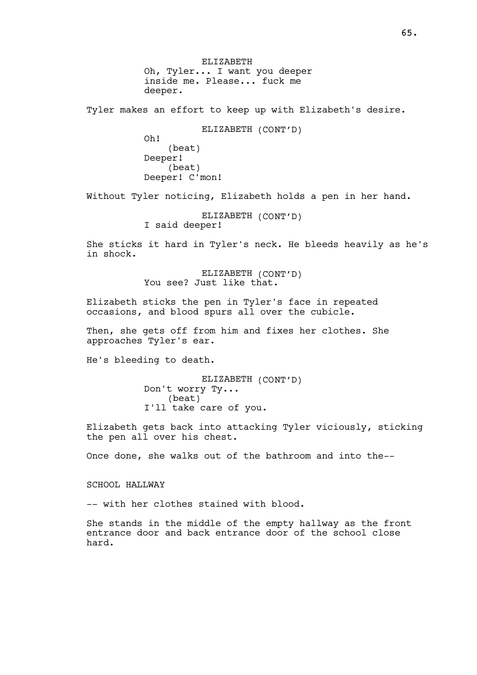ELIZABETH Oh, Tyler... I want you deeper inside me. Please... fuck me deeper. Tyler makes an effort to keep up with Elizabeth's desire. ELIZABETH (CONT'D) Oh! (beat) Deeper! (beat) Deeper! C'mon! Without Tyler noticing, Elizabeth holds a pen in her hand. ELIZABETH (CONT'D) I said deeper! She sticks it hard in Tyler's neck. He bleeds heavily as he's in shock. ELIZABETH (CONT'D) You see? Just like that. Elizabeth sticks the pen in Tyler's face in repeated occasions, and blood spurs all over the cubicle.

Then, she gets off from him and fixes her clothes. She approaches Tyler's ear.

He's bleeding to death.

ELIZABETH (CONT'D) Don't worry Ty... (beat) I'll take care of you.

Elizabeth gets back into attacking Tyler viciously, sticking the pen all over his chest.

Once done, she walks out of the bathroom and into the--

SCHOOL HALLWAY

-- with her clothes stained with blood.

She stands in the middle of the empty hallway as the front entrance door and back entrance door of the school close hard.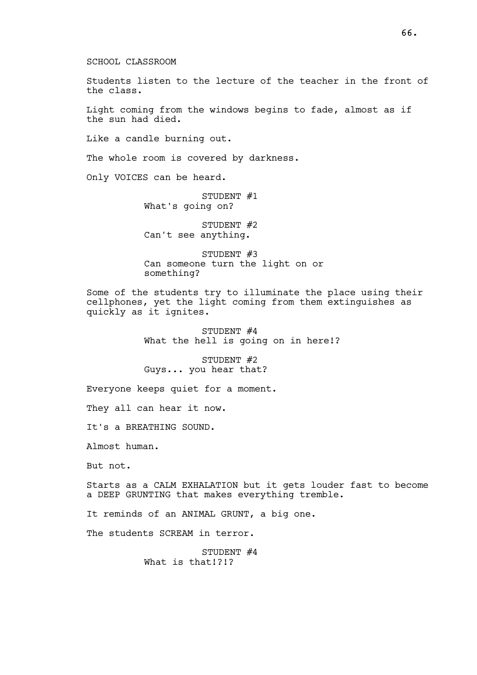SCHOOL CLASSROOM

Students listen to the lecture of the teacher in the front of the class.

Light coming from the windows begins to fade, almost as if the sun had died.

Like a candle burning out.

The whole room is covered by darkness.

Only VOICES can be heard.

STUDENT #1 What's going on?

STUDENT #2 Can't see anything.

STUDENT #3 Can someone turn the light on or something?

Some of the students try to illuminate the place using their cellphones, yet the light coming from them extinguishes as quickly as it ignites.

> STUDENT #4 What the hell is going on in here!?

STUDENT #2 Guys... you hear that?

Everyone keeps quiet for a moment.

They all can hear it now.

It's a BREATHING SOUND.

Almost human.

But not.

Starts as a CALM EXHALATION but it gets louder fast to become a DEEP GRUNTING that makes everything tremble.

It reminds of an ANIMAL GRUNT, a big one.

The students SCREAM in terror.

STUDENT #4 What is that!?!?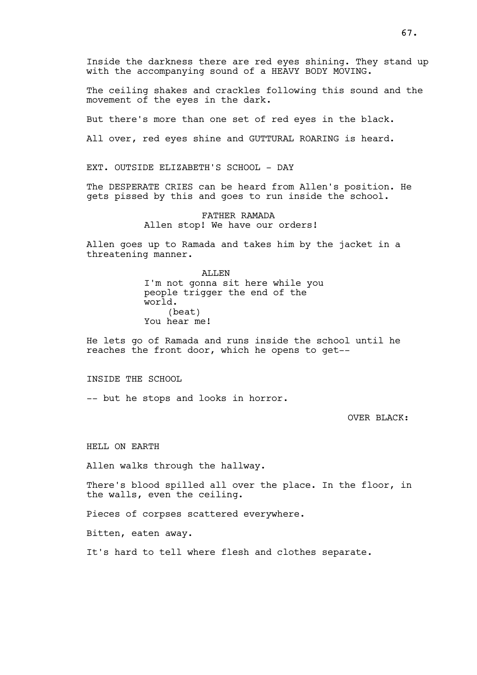The ceiling shakes and crackles following this sound and the movement of the eyes in the dark.

But there's more than one set of red eyes in the black.

All over, red eyes shine and GUTTURAL ROARING is heard.

EXT. OUTSIDE ELIZABETH'S SCHOOL - DAY

The DESPERATE CRIES can be heard from Allen's position. He gets pissed by this and goes to run inside the school.

> FATHER RAMADA Allen stop! We have our orders!

Allen goes up to Ramada and takes him by the jacket in a threatening manner.

> ALLEN I'm not gonna sit here while you people trigger the end of the world. (beat) You hear me!

He lets go of Ramada and runs inside the school until he reaches the front door, which he opens to get--

INSIDE THE SCHOOL

-- but he stops and looks in horror.

OVER BLACK:

HELL ON EARTH

Allen walks through the hallway.

There's blood spilled all over the place. In the floor, in the walls, even the ceiling.

Pieces of corpses scattered everywhere.

Bitten, eaten away.

It's hard to tell where flesh and clothes separate.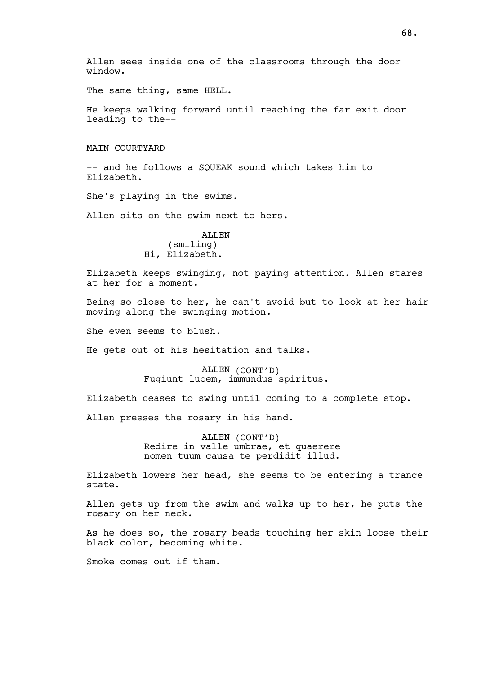Allen sees inside one of the classrooms through the door window.

The same thing, same HELL.

He keeps walking forward until reaching the far exit door leading to the--

MAIN COURTYARD

-- and he follows a SQUEAK sound which takes him to Elizabeth.

She's playing in the swims.

Allen sits on the swim next to hers.

ALLEN (smiling) Hi, Elizabeth.

Elizabeth keeps swinging, not paying attention. Allen stares at her for a moment.

Being so close to her, he can't avoid but to look at her hair moving along the swinging motion.

She even seems to blush.

He gets out of his hesitation and talks.

ALLEN (CONT'D) Fugiunt lucem, immundus spiritus.

Elizabeth ceases to swing until coming to a complete stop.

Allen presses the rosary in his hand.

ALLEN (CONT'D) Redire in valle umbrae, et quaerere nomen tuum causa te perdidit illud.

Elizabeth lowers her head, she seems to be entering a trance state.

Allen gets up from the swim and walks up to her, he puts the rosary on her neck.

As he does so, the rosary beads touching her skin loose their black color, becoming white.

Smoke comes out if them.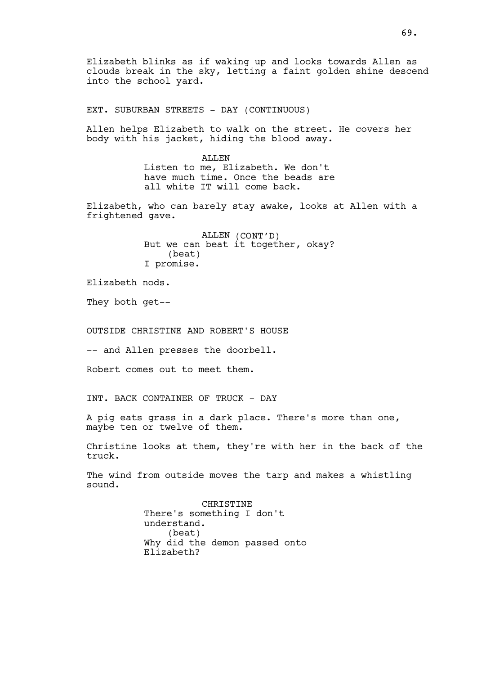Elizabeth blinks as if waking up and looks towards Allen as clouds break in the sky, letting a faint golden shine descend into the school yard.

EXT. SUBURBAN STREETS - DAY (CONTINUOUS)

Allen helps Elizabeth to walk on the street. He covers her body with his jacket, hiding the blood away.

> ALLEN Listen to me, Elizabeth. We don't have much time. Once the beads are all white IT will come back.

Elizabeth, who can barely stay awake, looks at Allen with a frightened gave.

> ALLEN (CONT'D) But we can beat it together, okay? (beat) I promise.

Elizabeth nods.

They both get--

OUTSIDE CHRISTINE AND ROBERT'S HOUSE

-- and Allen presses the doorbell.

Robert comes out to meet them.

INT. BACK CONTAINER OF TRUCK - DAY

A pig eats grass in a dark place. There's more than one, maybe ten or twelve of them.

Christine looks at them, they're with her in the back of the truck.

The wind from outside moves the tarp and makes a whistling sound.

> CHRISTINE There's something I don't understand. (beat) Why did the demon passed onto Elizabeth?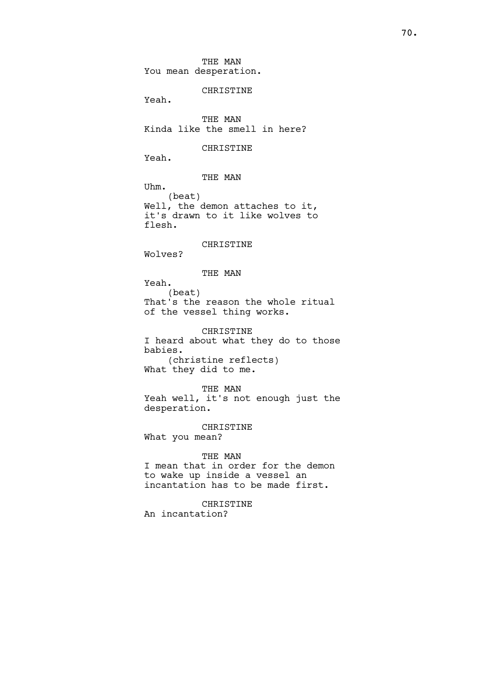THE MAN You mean desperation.

CHRISTINE

Yeah.

THE MAN Kinda like the smell in here?

CHRISTINE

Yeah.

THE MAN

Uhm.

(beat) Well, the demon attaches to it, it's drawn to it like wolves to flesh.

CHRISTINE

Wolves?

THE MAN

Yeah. (beat)

That's the reason the whole ritual of the vessel thing works.

CHRISTINE I heard about what they do to those babies. (christine reflects) What they did to me.

THE MAN Yeah well, it's not enough just the desperation.

CHRISTINE What you mean?

THE MAN

I mean that in order for the demon to wake up inside a vessel an incantation has to be made first.

CHRISTINE An incantation?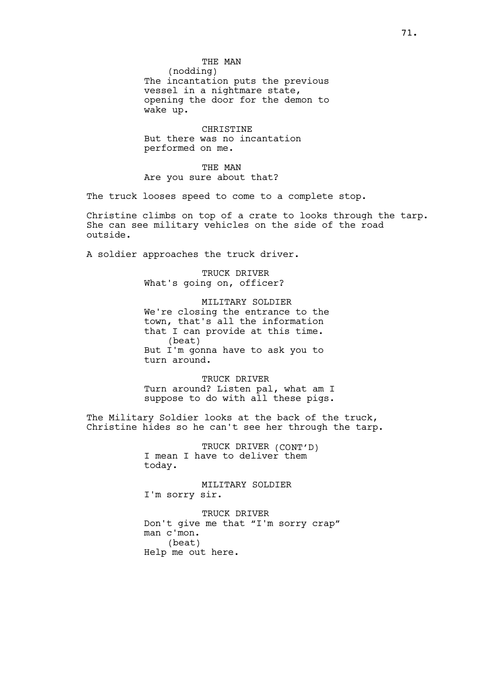The incantation puts the previous vessel in a nightmare state, opening the door for the demon to wake up.

**CHRISTINE** But there was no incantation performed on me.

THE MAN Are you sure about that?

The truck looses speed to come to a complete stop.

Christine climbs on top of a crate to looks through the tarp. She can see military vehicles on the side of the road outside.

A soldier approaches the truck driver.

TRUCK DRIVER What's going on, officer?

MILITARY SOLDIER We're closing the entrance to the town, that's all the information that I can provide at this time. (beat) But I'm gonna have to ask you to turn around.

TRUCK DRIVER Turn around? Listen pal, what am I suppose to do with all these pigs.

The Military Soldier looks at the back of the truck, Christine hides so he can't see her through the tarp.

> TRUCK DRIVER (CONT'D) I mean I have to deliver them today.

MILITARY SOLDIER I'm sorry sir.

TRUCK DRIVER Don't give me that "I'm sorry crap" man c'mon. (beat) Help me out here.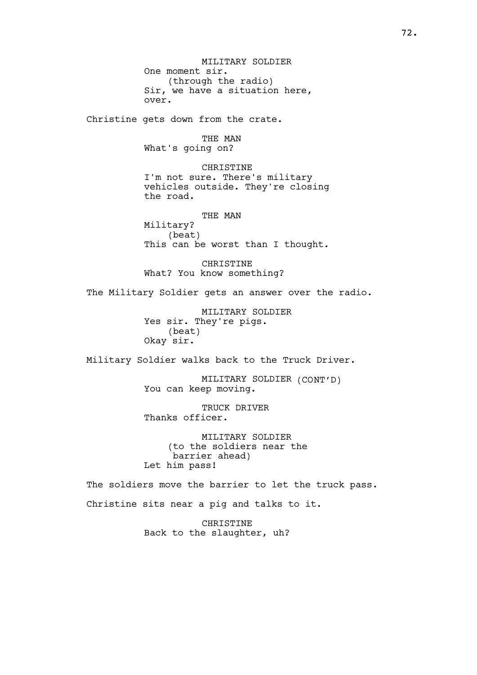MILITARY SOLDIER One moment sir. (through the radio) Sir, we have a situation here, over. Christine gets down from the crate. THE MAN What's going on? **CHRISTINE** I'm not sure. There's military vehicles outside. They're closing the road. THE MAN Military? (beat) This can be worst than I thought. CHRISTINE What? You know something? The Military Soldier gets an answer over the radio. MILITARY SOLDIER Yes sir. They're pigs. (beat) Okay sir. Military Soldier walks back to the Truck Driver. MILITARY SOLDIER (CONT'D) You can keep moving. TRUCK DRIVER Thanks officer. MILITARY SOLDIER (to the soldiers near the barrier ahead) Let him pass! The soldiers move the barrier to let the truck pass. Christine sits near a pig and talks to it. **CHRISTINE** Back to the slaughter, uh?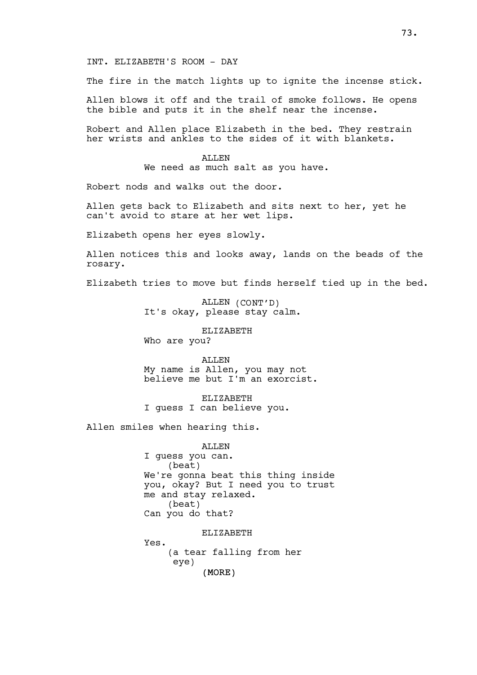INT. ELIZABETH'S ROOM - DAY

The fire in the match lights up to ignite the incense stick.

Allen blows it off and the trail of smoke follows. He opens the bible and puts it in the shelf near the incense.

Robert and Allen place Elizabeth in the bed. They restrain her wrists and ankles to the sides of it with blankets.

> ALLEN We need as much salt as you have.

Robert nods and walks out the door.

Allen gets back to Elizabeth and sits next to her, yet he can't avoid to stare at her wet lips.

Elizabeth opens her eyes slowly.

Allen notices this and looks away, lands on the beads of the rosary.

Elizabeth tries to move but finds herself tied up in the bed.

ALLEN (CONT'D) It's okay, please stay calm.

ELIZABETH

Who are you?

ALLEN My name is Allen, you may not believe me but I'm an exorcist.

ELIZABETH I guess I can believe you.

Allen smiles when hearing this.

ALLEN I guess you can. (beat) We're gonna beat this thing inside you, okay? But I need you to trust me and stay relaxed. (beat) Can you do that?

ELIZABETH

Yes.

(MORE) (a tear falling from her eye)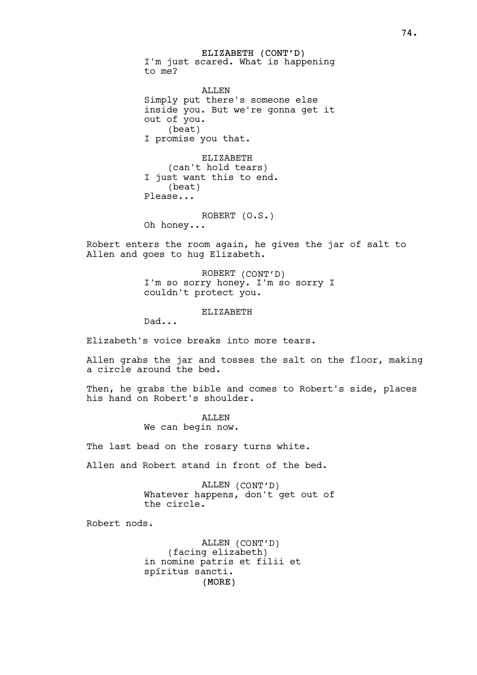ELIZABETH (CONT'D) I'm just scared. What is happening to me?

ALLEN Simply put there's someone else inside you. But we're gonna get it out of you. (beat) I promise you that.

ELIZABETH (can't hold tears) I just want this to end. (beat) Please...

ROBERT (O.S.)

Oh honey...

Robert enters the room again, he gives the jar of salt to Allen and goes to hug Elizabeth.

> ROBERT (CONT'D) I'm so sorry honey. I'm so sorry I couldn't protect you.

> > ELIZABETH

Dad...

Elizabeth's voice breaks into more tears.

Allen grabs the jar and tosses the salt on the floor, making a circle around the bed.

Then, he grabs the bible and comes to Robert's side, places his hand on Robert's shoulder.

> **ALLEN** We can begin now.

The last bead on the rosary turns white.

Allen and Robert stand in front of the bed.

ALLEN (CONT'D) Whatever happens, don't get out of the circle.

Robert nods.

(MORE) ALLEN (CONT'D) (facing elizabeth) in nomine patris et filii et spíritus sancti.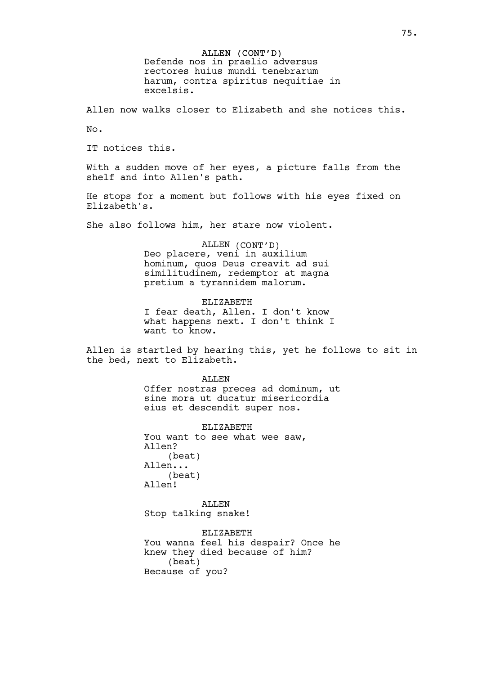ALLEN (CONT'D) Defende nos in praelio adversus rectores huius mundi tenebrarum harum, contra spiritus nequitiae in excelsis.

Allen now walks closer to Elizabeth and she notices this.

No.

IT notices this.

With a sudden move of her eyes, a picture falls from the shelf and into Allen's path.

He stops for a moment but follows with his eyes fixed on Elizabeth's.

She also follows him, her stare now violent.

ALLEN (CONT'D) Deo placere, veni in auxilium hominum, quos Deus creavit ad sui similitudinem, redemptor at magna pretium a tyrannidem malorum.

ELIZABETH I fear death, Allen. I don't know what happens next. I don't think I want to know.

Allen is startled by hearing this, yet he follows to sit in the bed, next to Elizabeth.

> ALLEN Offer nostras preces ad dominum, ut sine mora ut ducatur misericordia eius et descendit super nos.

**ELIZABETH** You want to see what wee saw, Allen? (beat) Allen... (beat) Allen!

ALLEN Stop talking snake!

ELIZABETH You wanna feel his despair? Once he knew they died because of him? (beat) Because of you?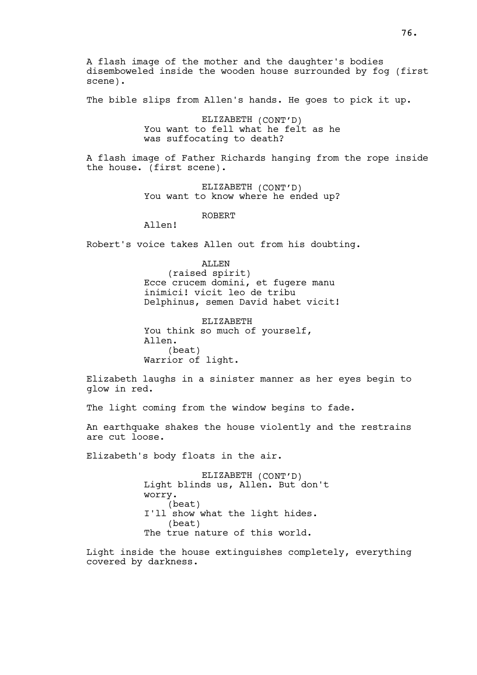A flash image of the mother and the daughter's bodies disemboweled inside the wooden house surrounded by fog (first scene).

The bible slips from Allen's hands. He goes to pick it up.

ELIZABETH (CONT'D) You want to fell what he felt as he was suffocating to death?

A flash image of Father Richards hanging from the rope inside the house. (first scene).

> ELIZABETH (CONT'D) You want to know where he ended up?

> > ROBERT

Allen!

Robert's voice takes Allen out from his doubting.

**ALLEN** 

(raised spirit) Ecce crucem domini, et fugere manu inimici! vicit leo de tribu Delphinus, semen David habet vicit!

ELIZABETH You think so much of yourself, Allen. (beat) Warrior of light.

Elizabeth laughs in a sinister manner as her eyes begin to glow in red.

The light coming from the window begins to fade.

An earthquake shakes the house violently and the restrains are cut loose.

Elizabeth's body floats in the air.

ELIZABETH (CONT'D) Light blinds us, Allen. But don't worry. (beat) I'll show what the light hides. (beat) The true nature of this world.

Light inside the house extinguishes completely, everything covered by darkness.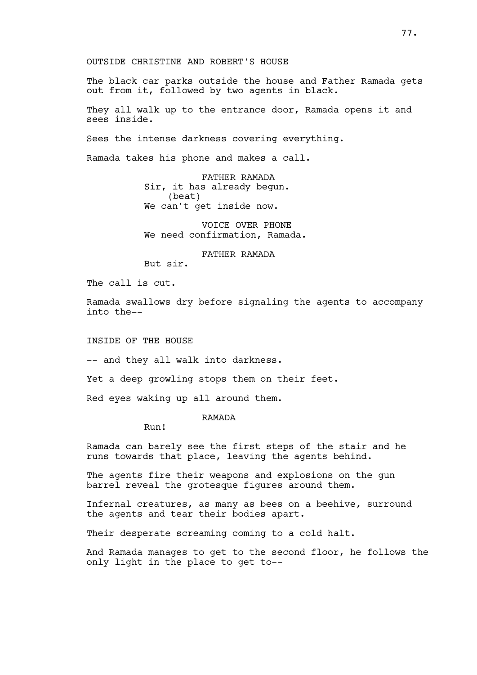OUTSIDE CHRISTINE AND ROBERT'S HOUSE

The black car parks outside the house and Father Ramada gets out from it, followed by two agents in black.

They all walk up to the entrance door, Ramada opens it and sees inside.

Sees the intense darkness covering everything.

Ramada takes his phone and makes a call.

FATHER RAMADA Sir, it has already begun. (beat) We can't get inside now.

VOICE OVER PHONE We need confirmation, Ramada.

FATHER RAMADA

But sir.

The call is cut.

Ramada swallows dry before signaling the agents to accompany into the--

INSIDE OF THE HOUSE

-- and they all walk into darkness.

Yet a deep growling stops them on their feet.

Red eyes waking up all around them.

#### RAMADA

Run!

Ramada can barely see the first steps of the stair and he runs towards that place, leaving the agents behind.

The agents fire their weapons and explosions on the gun barrel reveal the grotesque figures around them.

Infernal creatures, as many as bees on a beehive, surround the agents and tear their bodies apart.

Their desperate screaming coming to a cold halt.

And Ramada manages to get to the second floor, he follows the only light in the place to get to--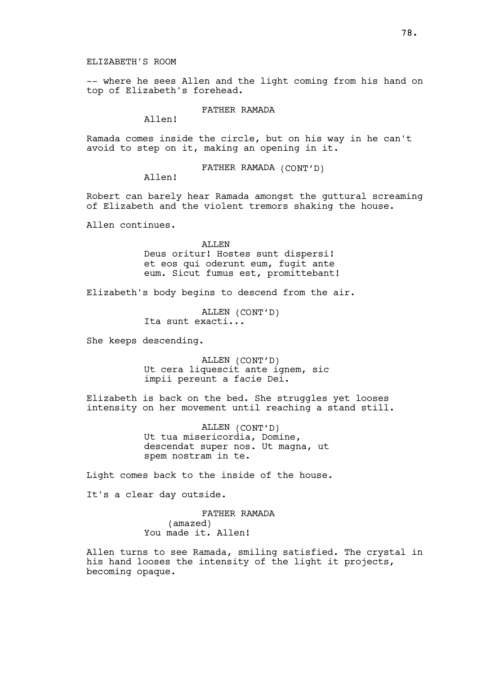-- where he sees Allen and the light coming from his hand on top of Elizabeth's forehead.

FATHER RAMADA

Allen!

Ramada comes inside the circle, but on his way in he can't avoid to step on it, making an opening in it.

FATHER RAMADA (CONT'D)

Allen!

Robert can barely hear Ramada amongst the guttural screaming of Elizabeth and the violent tremors shaking the house.

Allen continues.

ALLEN Deus oritur! Hostes sunt dispersi! et eos qui oderunt eum, fugit ante eum. Sicut fumus est, promittebant!

Elizabeth's body begins to descend from the air.

ALLEN (CONT'D) Ita sunt exacti...

She keeps descending.

ALLEN (CONT'D) Ut cera liquescit ante ignem, sic impii pereunt a facie Dei.

Elizabeth is back on the bed. She struggles yet looses intensity on her movement until reaching a stand still.

> ALLEN (CONT'D) Ut tua misericordia, Domine, descendat super nos. Ut magna, ut spem nostram in te.

Light comes back to the inside of the house.

It's a clear day outside.

FATHER RAMADA (amazed) You made it. Allen!

Allen turns to see Ramada, smiling satisfied. The crystal in his hand looses the intensity of the light it projects, becoming opaque.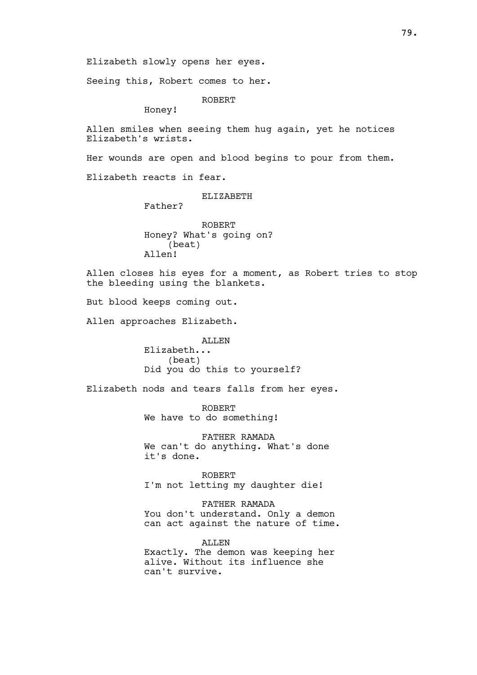Elizabeth slowly opens her eyes.

Seeing this, Robert comes to her.

ROBERT

Honey!

Allen smiles when seeing them hug again, yet he notices Elizabeth's wrists.

Her wounds are open and blood begins to pour from them.

Elizabeth reacts in fear.

## ELIZABETH

Father?

ROBERT Honey? What's going on? (beat) Allen!

Allen closes his eyes for a moment, as Robert tries to stop the bleeding using the blankets.

But blood keeps coming out.

Allen approaches Elizabeth.

**ALLEN** Elizabeth... (beat) Did you do this to yourself?

Elizabeth nods and tears falls from her eyes.

ROBERT We have to do something!

FATHER RAMADA We can't do anything. What's done it's done.

ROBERT I'm not letting my daughter die!

FATHER RAMADA You don't understand. Only a demon can act against the nature of time.

ALLEN Exactly. The demon was keeping her alive. Without its influence she can't survive.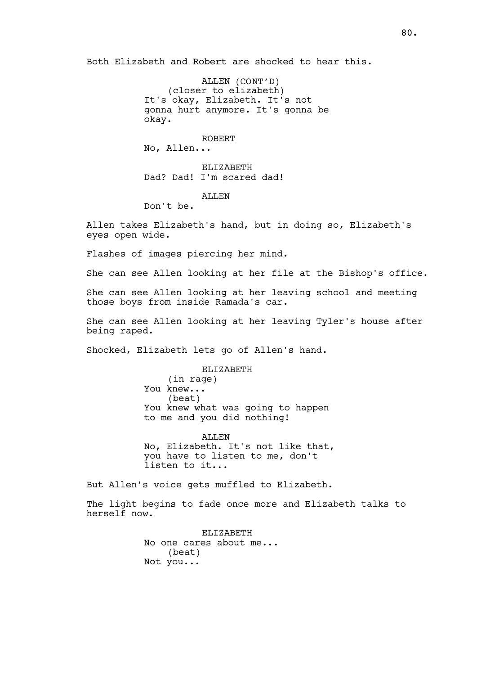Both Elizabeth and Robert are shocked to hear this.

ALLEN (CONT'D) (closer to elizabeth) It's okay, Elizabeth. It's not gonna hurt anymore. It's gonna be okay.

ROBERT No, Allen...

ELIZABETH Dad? Dad! I'm scared dad!

ALLEN

Don't be.

Allen takes Elizabeth's hand, but in doing so, Elizabeth's eyes open wide.

Flashes of images piercing her mind.

She can see Allen looking at her file at the Bishop's office.

She can see Allen looking at her leaving school and meeting those boys from inside Ramada's car.

She can see Allen looking at her leaving Tyler's house after being raped.

Shocked, Elizabeth lets go of Allen's hand.

ELIZABETH (in rage) You knew... (beat) You knew what was going to happen to me and you did nothing!

**ALLEN** No, Elizabeth. It's not like that, you have to listen to me, don't listen to it...

But Allen's voice gets muffled to Elizabeth.

The light begins to fade once more and Elizabeth talks to herself now.

> ELIZABETH No one cares about me... (beat) Not you...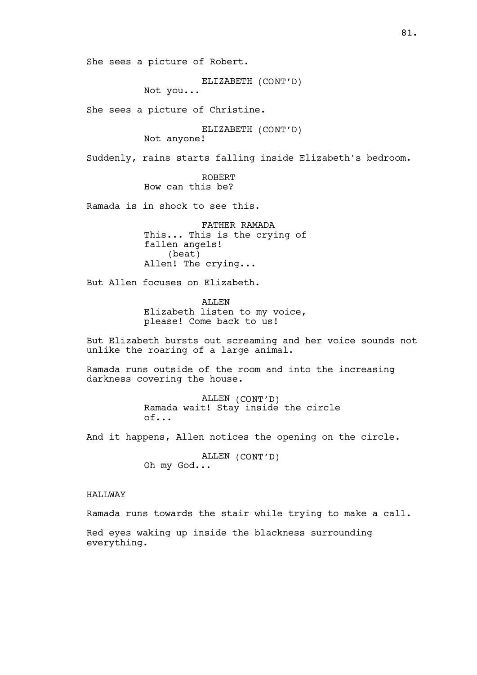She sees a picture of Robert.

ELIZABETH (CONT'D)

Not you...

She sees a picture of Christine.

ELIZABETH (CONT'D)

Not anyone!

Suddenly, rains starts falling inside Elizabeth's bedroom.

ROBERT How can this be?

Ramada is in shock to see this.

FATHER RAMADA This... This is the crying of fallen angels! (beat) Allen! The crying...

But Allen focuses on Elizabeth.

ALLEN Elizabeth listen to my voice, please! Come back to us!

But Elizabeth bursts out screaming and her voice sounds not unlike the roaring of a large animal.

Ramada runs outside of the room and into the increasing darkness covering the house.

> ALLEN (CONT'D) Ramada wait! Stay inside the circle of...

And it happens, Allen notices the opening on the circle.

ALLEN (CONT'D) Oh my God...

### HALLWAY

Ramada runs towards the stair while trying to make a call.

Red eyes waking up inside the blackness surrounding everything.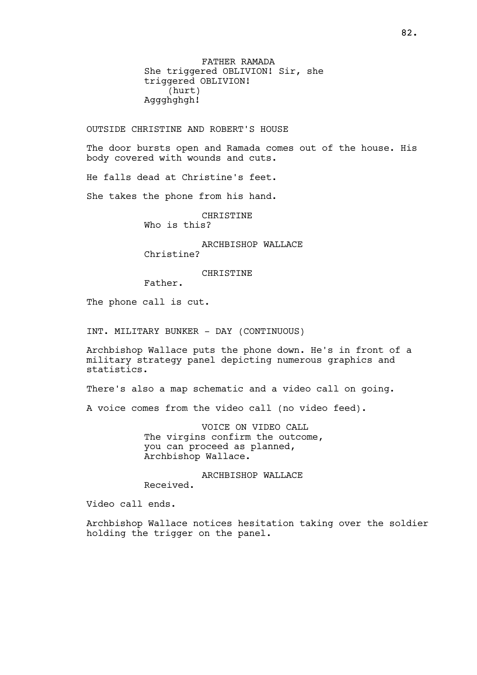FATHER RAMADA She triggered OBLIVION! Sir, she triggered OBLIVION! (hurt) Aggghghgh!

OUTSIDE CHRISTINE AND ROBERT'S HOUSE

The door bursts open and Ramada comes out of the house. His body covered with wounds and cuts.

He falls dead at Christine's feet.

She takes the phone from his hand.

CHRISTINE

Who is this?

ARCHBISHOP WALLACE Christine?

CHRISTINE

Father.

The phone call is cut.

INT. MILITARY BUNKER - DAY (CONTINUOUS)

Archbishop Wallace puts the phone down. He's in front of a military strategy panel depicting numerous graphics and statistics.

There's also a map schematic and a video call on going.

A voice comes from the video call (no video feed).

VOICE ON VIDEO CALL The virgins confirm the outcome, you can proceed as planned, Archbishop Wallace.

ARCHBISHOP WALLACE Received.

Video call ends.

Archbishop Wallace notices hesitation taking over the soldier holding the trigger on the panel.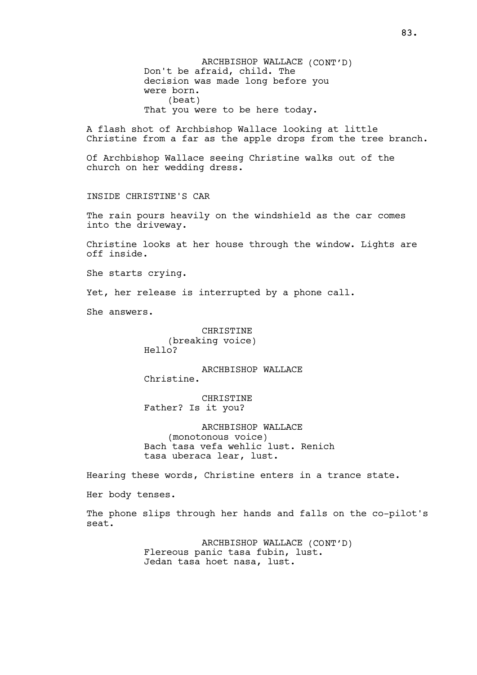ARCHBISHOP WALLACE (CONT'D) Don't be afraid, child. The decision was made long before you were born. (beat) That you were to be here today.

A flash shot of Archbishop Wallace looking at little Christine from a far as the apple drops from the tree branch.

Of Archbishop Wallace seeing Christine walks out of the church on her wedding dress.

INSIDE CHRISTINE'S CAR

The rain pours heavily on the windshield as the car comes into the driveway.

Christine looks at her house through the window. Lights are off inside.

She starts crying.

Yet, her release is interrupted by a phone call.

She answers.

CHRISTINE (breaking voice) Hello?

ARCHBISHOP WALLACE Christine.

CHRISTINE Father? Is it you?

ARCHBISHOP WALLACE (monotonous voice) Bach tasa vefa wehlic lust. Renich tasa uberaca lear, lust.

Hearing these words, Christine enters in a trance state.

Her body tenses.

The phone slips through her hands and falls on the co-pilot's seat.

> ARCHBISHOP WALLACE (CONT'D) Flereous panic tasa fubin, lust. Jedan tasa hoet nasa, lust.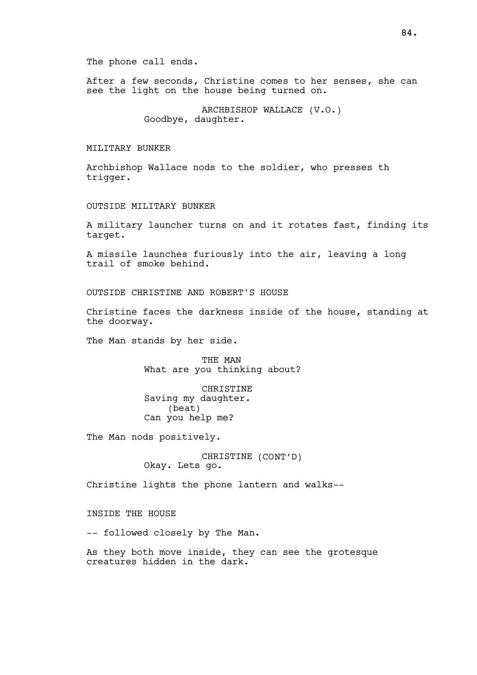The phone call ends.

After a few seconds, Christine comes to her senses, she can see the light on the house being turned on.

> ARCHBISHOP WALLACE (V.O.) Goodbye, daughter.

### MILITARY BUNKER

Archbishop Wallace nods to the soldier, who presses th trigger.

OUTSIDE MILITARY BUNKER

A military launcher turns on and it rotates fast, finding its target.

A missile launches furiously into the air, leaving a long trail of smoke behind.

OUTSIDE CHRISTINE AND ROBERT'S HOUSE

Christine faces the darkness inside of the house, standing at the doorway.

The Man stands by her side.

THE MAN What are you thinking about?

CHRISTINE Saving my daughter. (beat) Can you help me?

The Man nods positively.

CHRISTINE (CONT'D) Okay. Lets go.

Christine lights the phone lantern and walks--

INSIDE THE HOUSE

-- followed closely by The Man.

As they both move inside, they can see the grotesque creatures hidden in the dark.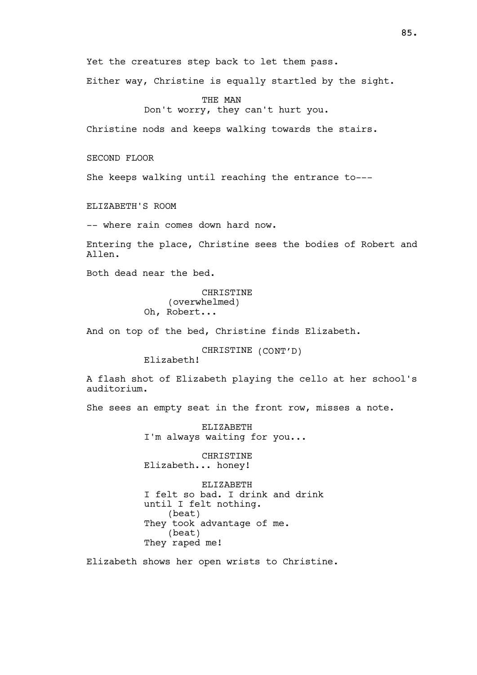Yet the creatures step back to let them pass.

Either way, Christine is equally startled by the sight.

# THE MAN Don't worry, they can't hurt you.

Christine nods and keeps walking towards the stairs.

SECOND FLOOR

She keeps walking until reaching the entrance to---

ELIZABETH'S ROOM

-- where rain comes down hard now.

Entering the place, Christine sees the bodies of Robert and Allen.

Both dead near the bed.

CHRISTINE (overwhelmed) Oh, Robert...

And on top of the bed, Christine finds Elizabeth.

CHRISTINE (CONT'D)

Elizabeth!

A flash shot of Elizabeth playing the cello at her school's auditorium.

She sees an empty seat in the front row, misses a note.

ELIZABETH I'm always waiting for you...

CHRISTINE Elizabeth... honey!

ELIZABETH I felt so bad. I drink and drink until I felt nothing. (beat) They took advantage of me. (beat) They raped me!

Elizabeth shows her open wrists to Christine.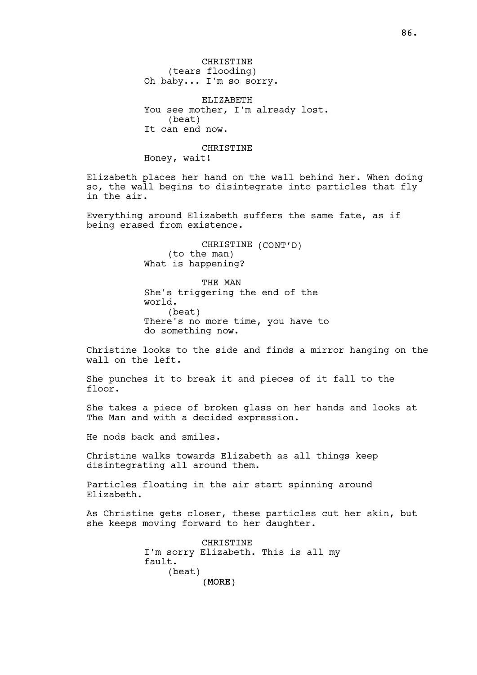**CHRISTINE** (tears flooding) Oh baby... I'm so sorry.

ELIZABETH You see mother, I'm already lost. (beat) It can end now.

**CHRISTINE** Honey, wait!

Elizabeth places her hand on the wall behind her. When doing so, the wall begins to disintegrate into particles that fly in the air.

Everything around Elizabeth suffers the same fate, as if being erased from existence.

> CHRISTINE (CONT'D) (to the man) What is happening?

THE MAN She's triggering the end of the world. (beat) There's no more time, you have to do something now.

Christine looks to the side and finds a mirror hanging on the wall on the left.

She punches it to break it and pieces of it fall to the floor.

She takes a piece of broken glass on her hands and looks at The Man and with a decided expression.

He nods back and smiles.

Christine walks towards Elizabeth as all things keep disintegrating all around them.

Particles floating in the air start spinning around Elizabeth.

As Christine gets closer, these particles cut her skin, but she keeps moving forward to her daughter.

> (MORE) **CHRISTINE** I'm sorry Elizabeth. This is all my fault. (beat)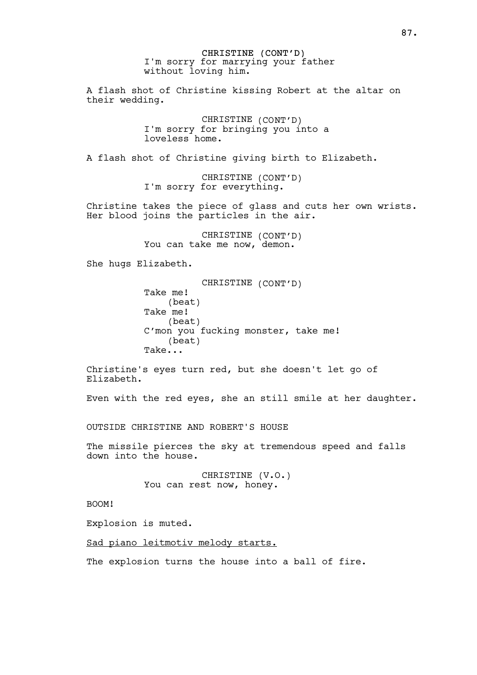CHRISTINE (CONT'D) I'm sorry for marrying your father without loving him.

A flash shot of Christine kissing Robert at the altar on their wedding.

> CHRISTINE (CONT'D) I'm sorry for bringing you into a loveless home.

A flash shot of Christine giving birth to Elizabeth.

CHRISTINE (CONT'D) I'm sorry for everything.

Christine takes the piece of glass and cuts her own wrists. Her blood joins the particles in the air.

> CHRISTINE (CONT'D) You can take me now, demon.

She hugs Elizabeth.

CHRISTINE (CONT'D) Take me! (beat) Take me! (beat) C'mon you fucking monster, take me! (beat) Take...

Christine's eyes turn red, but she doesn't let go of Elizabeth.

Even with the red eyes, she an still smile at her daughter.

OUTSIDE CHRISTINE AND ROBERT'S HOUSE

The missile pierces the sky at tremendous speed and falls down into the house.

> CHRISTINE (V.O.) You can rest now, honey.

BOOM!

Explosion is muted.

Sad piano leitmotiv melody starts.

The explosion turns the house into a ball of fire.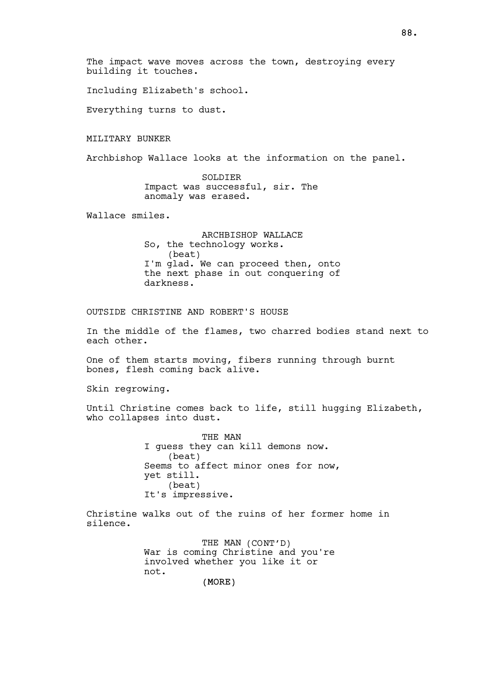The impact wave moves across the town, destroying every building it touches.

Including Elizabeth's school.

Everything turns to dust.

MILITARY BUNKER

Archbishop Wallace looks at the information on the panel.

SOLDIER Impact was successful, sir. The anomaly was erased.

Wallace smiles.

ARCHBISHOP WALLACE So, the technology works. (beat) I'm glad. We can proceed then, onto the next phase in out conquering of darkness.

OUTSIDE CHRISTINE AND ROBERT'S HOUSE

In the middle of the flames, two charred bodies stand next to each other.

One of them starts moving, fibers running through burnt bones, flesh coming back alive.

Skin regrowing.

Until Christine comes back to life, still hugging Elizabeth, who collapses into dust.

> THE MAN I guess they can kill demons now. (beat) Seems to affect minor ones for now, yet still. (beat) It's impressive.

Christine walks out of the ruins of her former home in silence.

> THE MAN (CONT'D) War is coming Christine and you're involved whether you like it or not.

> > (MORE)